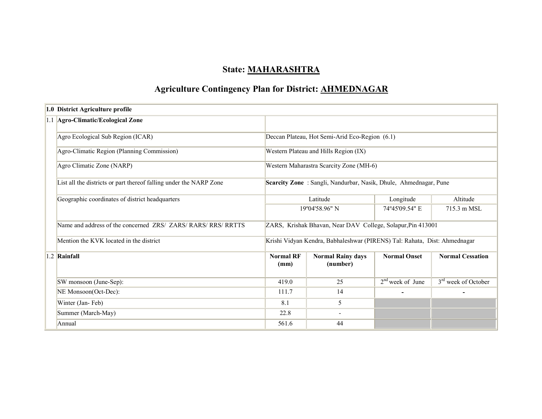# State: MAHARASHTRA

# Agriculture Contingency Plan for District: AHMEDNAGAR

| 1.0 District Agriculture profile                                   |                          |                                                                           |                     |                                 |  |  |  |
|--------------------------------------------------------------------|--------------------------|---------------------------------------------------------------------------|---------------------|---------------------------------|--|--|--|
| 1.1 Agro-Climatic/Ecological Zone                                  |                          |                                                                           |                     |                                 |  |  |  |
| Agro Ecological Sub Region (ICAR)                                  |                          | Deccan Plateau, Hot Semi-Arid Eco-Region (6.1)                            |                     |                                 |  |  |  |
| Agro-Climatic Region (Planning Commission)                         |                          | Western Plateau and Hills Region (IX)                                     |                     |                                 |  |  |  |
| Agro Climatic Zone (NARP)                                          |                          | Western Maharastra Scarcity Zone (MH-6)                                   |                     |                                 |  |  |  |
| List all the districts or part thereof falling under the NARP Zone |                          | Scarcity Zone: Sangli, Nandurbar, Nasik, Dhule, Ahmednagar, Pune          |                     |                                 |  |  |  |
| Geographic coordinates of district headquarters                    |                          | Latitude                                                                  | Longitude           | Altitude                        |  |  |  |
|                                                                    |                          | 19°04'58.96" N                                                            | 74°45'09.54" E      | 715.3 m MSL                     |  |  |  |
| Name and address of the concerned ZRS/ ZARS/ RARS/ RRS/ RRTTS      |                          | ZARS, Krishak Bhavan, Near DAV College, Solapur, Pin 413001               |                     |                                 |  |  |  |
| Mention the KVK located in the district                            |                          | Krishi Vidyan Kendra, Babhaleshwar (PIRENS) Tal: Rahata, Dist: Ahmednagar |                     |                                 |  |  |  |
| $1.2$ Rainfall                                                     | <b>Normal RF</b><br>(mm) | <b>Normal Rainy days</b><br>(number)                                      | <b>Normal Onset</b> | <b>Normal Cessation</b>         |  |  |  |
| SW monsoon (June-Sep):                                             | 419.0                    | 25                                                                        | $2nd$ week of June  | 3 <sup>rd</sup> week of October |  |  |  |
| NE Monsoon(Oct-Dec):                                               | 111.7                    | 14                                                                        |                     |                                 |  |  |  |
| Winter (Jan-Feb)                                                   | 8.1                      | 5                                                                         |                     |                                 |  |  |  |
| Summer (March-May)                                                 | 22.8                     |                                                                           |                     |                                 |  |  |  |
| Annual                                                             | 561.6                    | 44                                                                        |                     |                                 |  |  |  |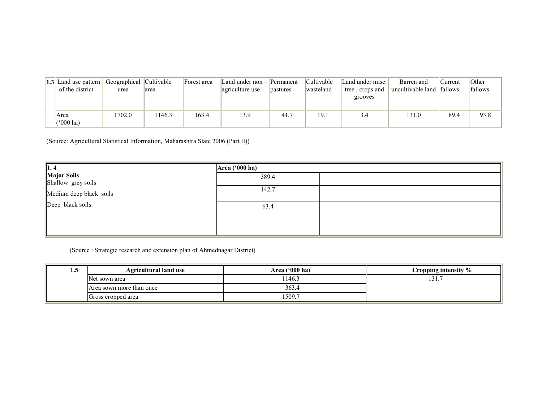| <b>1.3</b> Land use pattern<br>of the district | Geographical Cultivable<br>urea | area   | Forest area | Land under non $-$ Permanent<br>agriculture use | pastures | Cultivable<br>wasteland | Land under misc.<br>tree, crops and | Barren and<br>uncultivable land | Current<br>fallows | Other<br>fallows |
|------------------------------------------------|---------------------------------|--------|-------------|-------------------------------------------------|----------|-------------------------|-------------------------------------|---------------------------------|--------------------|------------------|
|                                                |                                 |        |             |                                                 |          |                         | grooves                             |                                 |                    |                  |
| Area<br>$(500 \text{ ha})$                     | 1702.0                          | 1146.3 | 163.4       | 13.9                                            | 41.7     | 19.1                    | 3.4                                 | 131.0                           | 89.4               | 93.8             |

(Source: Agricultural Statistical Information, Maharashtra State 2006 (Part II))

| $\vert$ 1.4                       | Area ('000 ha) |  |  |  |  |
|-----------------------------------|----------------|--|--|--|--|
| Major Soils<br>Shallow grey soils | 389.4          |  |  |  |  |
| Medium deep black soils           | 142.7          |  |  |  |  |
| Deep black soils                  | 63.4           |  |  |  |  |
|                                   |                |  |  |  |  |

(Source : Strategic research and extension plan of Ahmednagar District)

| 1. . J | <b>Agricultural land use</b> | Area $('000 ha)$ | Cropping intensity % |
|--------|------------------------------|------------------|----------------------|
|        | Net sown area                | 1146.3           | 131.7                |
|        | Area sown more than once     | 363.4            |                      |
|        | Gross cropped area           | 1509.7           |                      |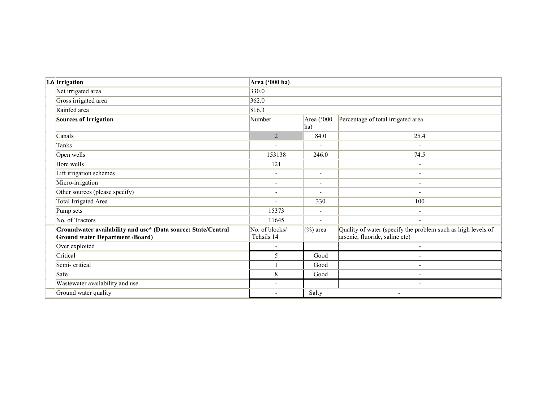| 1.6 Irrigation                                                                                          | Area ('000 ha)               |                          |                                                                                                |
|---------------------------------------------------------------------------------------------------------|------------------------------|--------------------------|------------------------------------------------------------------------------------------------|
| Net irrigated area                                                                                      | 330.0                        |                          |                                                                                                |
| Gross irrigated area                                                                                    | 362.0                        |                          |                                                                                                |
| Rainfed area                                                                                            | 816.3                        |                          |                                                                                                |
| Sources of Irrigation                                                                                   | Number                       | Area ('000<br>ha)        | Percentage of total irrigated area                                                             |
| Canals                                                                                                  | $\overline{2}$               | 84.0                     | 25.4                                                                                           |
| Tanks                                                                                                   |                              | $\blacksquare$           | ٠                                                                                              |
| Open wells                                                                                              | 153138                       | 246.0                    | 74.5                                                                                           |
| Bore wells                                                                                              | 121                          |                          | $\blacksquare$                                                                                 |
| Lift irrigation schemes                                                                                 | $\blacksquare$               | $\blacksquare$           | $\overline{\phantom{0}}$                                                                       |
| Micro-irrigation                                                                                        | ٠                            | $\blacksquare$           | $\overline{\phantom{a}}$                                                                       |
| Other sources (please specify)                                                                          | $\overline{\phantom{a}}$     | $\blacksquare$           |                                                                                                |
| <b>Total Irrigated Area</b>                                                                             | $\overline{\phantom{0}}$     | 330                      | 100                                                                                            |
| Pump sets                                                                                               | 15373                        | $\blacksquare$           | $\overline{\phantom{a}}$                                                                       |
| No. of Tractors                                                                                         | 11645                        | $\overline{\phantom{a}}$ | $\qquad \qquad -$                                                                              |
| Groundwater availability and use* (Data source: State/Central<br><b>Ground water Department /Board)</b> | No. of blocks/<br>Tehsils 14 | $(\%)$ area              | Quality of water (specify the problem such as high levels of<br>arsenic, fluoride, saline etc) |
| Over exploited                                                                                          |                              |                          |                                                                                                |
| Critical                                                                                                | 5                            | Good                     |                                                                                                |
| Semi-critical                                                                                           |                              | Good                     |                                                                                                |
| Safe                                                                                                    | 8                            | Good                     |                                                                                                |
| Wastewater availability and use                                                                         | ٠                            |                          | $\overline{\phantom{a}}$                                                                       |
| Ground water quality                                                                                    | ٠                            | Salty                    | $\overline{\phantom{a}}$                                                                       |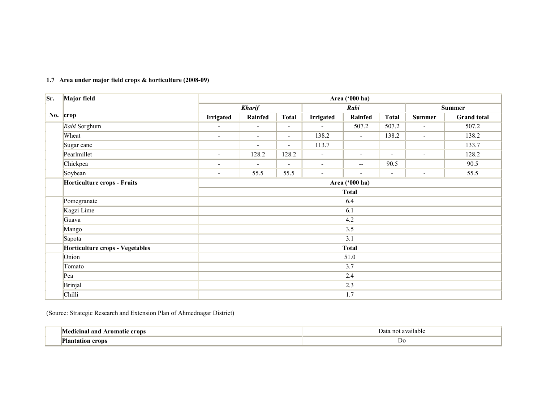| Sr. | Major field                     | Area ('000 ha)           |                          |                          |                  |                          |                          |                          |                    |  |
|-----|---------------------------------|--------------------------|--------------------------|--------------------------|------------------|--------------------------|--------------------------|--------------------------|--------------------|--|
|     |                                 |                          | <b>Kharif</b>            |                          |                  | Rabi                     |                          |                          | Summer             |  |
| No. | crop                            | <b>Irrigated</b>         | Rainfed                  | <b>Total</b>             | <b>Irrigated</b> | Rainfed                  | <b>Total</b>             | <b>Summer</b>            | <b>Grand</b> total |  |
|     | Rabi Sorghum                    | $\overline{\phantom{a}}$ | $\blacksquare$           | $\blacksquare$           | $\overline{a}$   | 507.2                    | 507.2                    | $\overline{\phantom{a}}$ | 507.2              |  |
|     | Wheat                           | $\overline{\phantom{a}}$ | $\overline{\phantom{a}}$ | $\overline{\phantom{0}}$ | 138.2            | $\overline{\phantom{a}}$ | 138.2                    | $\overline{\phantom{a}}$ | 138.2              |  |
|     | Sugar cane                      |                          | $\overline{\phantom{a}}$ | $\overline{\phantom{0}}$ | 113.7            |                          |                          |                          | 133.7              |  |
|     | Pearlmillet                     | $\overline{\phantom{a}}$ | 128.2                    | 128.2                    | $\blacksquare$   | $\overline{\phantom{a}}$ | $\overline{\phantom{a}}$ | $\overline{\phantom{a}}$ | 128.2              |  |
|     | Chickpea                        | $\overline{\phantom{a}}$ | $\overline{\phantom{a}}$ | $\blacksquare$           | $\blacksquare$   | $\overline{\phantom{a}}$ | 90.5                     |                          | 90.5               |  |
|     | Soybean                         | $\overline{\phantom{a}}$ | 55.5                     | 55.5                     | $\blacksquare$   | $\overline{\phantom{a}}$ | $\overline{\phantom{a}}$ | $\overline{\phantom{a}}$ | 55.5               |  |
|     | Horticulture crops - Fruits     | Area ('000 ha)           |                          |                          |                  |                          |                          |                          |                    |  |
|     |                                 | <b>Total</b>             |                          |                          |                  |                          |                          |                          |                    |  |
|     | Pomegranate                     | 6.4                      |                          |                          |                  |                          |                          |                          |                    |  |
|     | Kagzi Lime                      |                          |                          |                          |                  | 6.1                      |                          |                          |                    |  |
|     | Guava                           |                          |                          |                          |                  | 4.2                      |                          |                          |                    |  |
|     | Mango                           |                          |                          |                          |                  | 3.5                      |                          |                          |                    |  |
|     | Sapota                          |                          |                          |                          |                  | 3.1                      |                          |                          |                    |  |
|     | Horticulture crops - Vegetables |                          |                          |                          |                  | <b>Total</b>             |                          |                          |                    |  |
|     | Onion                           |                          |                          |                          |                  | 51.0                     |                          |                          |                    |  |
|     | Tomato                          |                          |                          |                          |                  | 3.7                      |                          |                          |                    |  |
|     | Pea                             | 2.4                      |                          |                          |                  |                          |                          |                          |                    |  |
|     | Brinjal                         |                          |                          |                          |                  | 2.3                      |                          |                          |                    |  |
|     | Chilli                          | 1.7                      |                          |                          |                  |                          |                          |                          |                    |  |

#### 1.7 Area under major field crops & horticulture (2008-09)

(Source: Strategic Research and Extension Plan of Ahmednagar District)

| crops<br>romatıc<br>and<br>$11.71 \wedge 12.7$ | vailable<br>no<br> |
|------------------------------------------------|--------------------|
| m<br>rons                                      | D <sub>0</sub>     |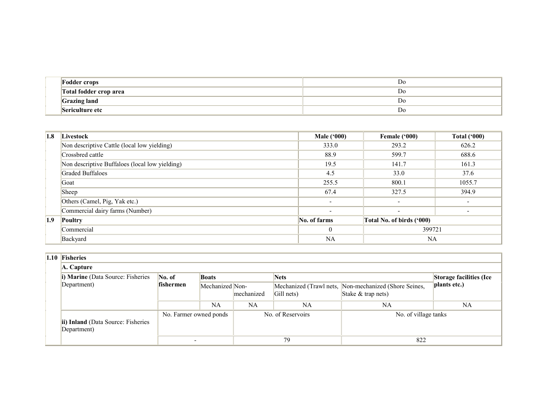| <b>Fodder crops</b>    | DC.            |
|------------------------|----------------|
| Total fodder crop area | D <sub>0</sub> |
| <b>Grazing land</b>    | D <sub>0</sub> |
| Sericulture etc        | D <sub>0</sub> |

| 1.8              | Livestock                                      | Male $(900)$             | Female ('000)             | <b>Total ('000)</b> |  |
|------------------|------------------------------------------------|--------------------------|---------------------------|---------------------|--|
|                  | Non descriptive Cattle (local low yielding)    | 333.0                    | 293.2                     | 626.2               |  |
|                  | Crossbred cattle                               | 88.9                     | 599.7                     | 688.6               |  |
|                  | Non descriptive Buffaloes (local low yielding) | 19.5                     | 141.7                     | 161.3               |  |
|                  | <b>Graded Buffaloes</b>                        | 4.5                      | 33.0                      | 37.6                |  |
|                  | Goat                                           | 255.5                    | 800.1                     | 1055.7              |  |
|                  | Sheep                                          | 67.4                     | 327.5                     | 394.9               |  |
|                  | Others (Camel, Pig, Yak etc.)                  | $\overline{\phantom{0}}$ | $\overline{\phantom{a}}$  |                     |  |
|                  | Commercial dairy farms (Number)                | $\overline{\phantom{0}}$ | $\sim$                    |                     |  |
| 1.9 <sup>°</sup> | <b>Poultry</b>                                 | No. of farms             | Total No. of birds ('000) |                     |  |
|                  | Commercial                                     | $\mathbf{0}$             | 399721                    |                     |  |
|                  | Backyard                                       | NA                       | <b>NA</b>                 |                     |  |

#### 1.10 Fisheries

| A. Capture                                               |                              |                        |                          |                   |                                                                               |                         |  |
|----------------------------------------------------------|------------------------------|------------------------|--------------------------|-------------------|-------------------------------------------------------------------------------|-------------------------|--|
| i) Marine (Data Source: Fisheries                        | No. of                       | <b>Boats</b>           |                          | <b>Nets</b>       |                                                                               | Storage facilities (Ice |  |
| Department)                                              | fishermen<br>Mechanized Non- |                        | Gill nets)<br>mechanized |                   | Mechanized (Trawl nets, Non-mechanized (Shore Seines,<br>Stake $&$ trap nets) | plants etc.)            |  |
|                                                          |                              | <b>NA</b>              | NA                       | NA                | NA                                                                            | NA                      |  |
| <b>ii) Inland</b> (Data Source: Fisheries<br>Department) |                              | No. Farmer owned ponds |                          | No. of Reservoirs | No. of village tanks                                                          |                         |  |
|                                                          |                              |                        |                          | 79                | 822                                                                           |                         |  |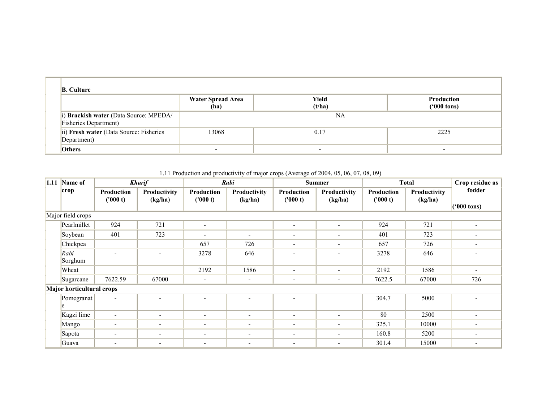| <b>B.</b> Culture                                                       |                                  |                          |                                    |  |  |  |  |  |
|-------------------------------------------------------------------------|----------------------------------|--------------------------|------------------------------------|--|--|--|--|--|
|                                                                         | <b>Water Spread Area</b><br>(ha) | Yield<br>(t/ha)          | Production<br>$(900 \text{ tons})$ |  |  |  |  |  |
| i) Brackish water (Data Source: MPEDA/<br><b>Fisheries Department</b> ) |                                  | NA                       |                                    |  |  |  |  |  |
| ii) Fresh water (Data Source: Fisheries<br>Department)                  | 13068                            | 0.17                     | 2225                               |  |  |  |  |  |
| <b>Others</b>                                                           | $\overline{\phantom{0}}$         | $\overline{\phantom{0}}$ |                                    |  |  |  |  |  |

1.11 Production and productivity of major crops (Average of 2004, 05, 06, 07, 08, 09)

|                   | 1.11 Name of                     |                          | <b>Kharif</b>            |                          | Rabi                     | <b>Summer</b>            |                          |                        | <b>Total</b>            | Crop residue as                |
|-------------------|----------------------------------|--------------------------|--------------------------|--------------------------|--------------------------|--------------------------|--------------------------|------------------------|-------------------------|--------------------------------|
|                   | crop                             | Production<br>('000 t)   | Productivity<br>(kg/ha)  | Production<br>(1000 t)   | Productivity<br>(kg/ha)  | Production<br>(1000 t)   | Productivity<br>(kg/ha)  | Production<br>('000 t) | Productivity<br>(kg/ha) | fodder<br>$(900 \text{ tons})$ |
| Major field crops |                                  |                          |                          |                          |                          |                          |                          |                        |                         |                                |
|                   | Pearlmillet                      | 924                      | 721                      | $\overline{\phantom{a}}$ |                          | $\overline{\phantom{a}}$ |                          | 924                    | 721                     | $\overline{\phantom{a}}$       |
|                   | Soybean                          | 401                      | 723                      | $\overline{\phantom{a}}$ | $\overline{\phantom{0}}$ | $\overline{\phantom{0}}$ | $\overline{\phantom{a}}$ | 401                    | 723                     |                                |
|                   | Chickpea                         |                          |                          | 657                      | 726                      | $\overline{\phantom{a}}$ | $\overline{\phantom{a}}$ | 657                    | 726                     | $\overline{\phantom{a}}$       |
|                   | Rabi<br>Sorghum                  |                          |                          | 3278                     | 646                      | $\overline{\phantom{a}}$ |                          | 3278                   | 646                     |                                |
|                   | Wheat                            |                          |                          | 2192                     | 1586                     | $\overline{\phantom{a}}$ | $\overline{\phantom{a}}$ | 2192                   | 1586                    | $\overline{\phantom{a}}$       |
|                   | Sugarcane                        | 7622.59                  | 67000                    | $\overline{\phantom{a}}$ | $\overline{\phantom{a}}$ | $\overline{\phantom{a}}$ | $\overline{\phantom{a}}$ | 7622.5                 | 67000                   | 726                            |
|                   | <b>Major horticultural crops</b> |                          |                          |                          |                          |                          |                          |                        |                         |                                |
|                   | Pomegranat<br>le                 | $\blacksquare$           |                          | $\overline{\phantom{a}}$ | $\overline{\phantom{0}}$ | $\overline{\phantom{a}}$ |                          | 304.7                  | 5000                    |                                |
|                   | Kagzi lime                       | $\blacksquare$           | $\overline{\phantom{a}}$ | $\overline{\phantom{a}}$ | $\blacksquare$           | $\overline{\phantom{a}}$ | $\overline{\phantom{a}}$ | 80                     | 2500                    | $\overline{\phantom{a}}$       |
|                   | Mango                            | -                        | $\overline{\phantom{a}}$ | $\overline{\phantom{a}}$ | $\overline{\phantom{a}}$ | $\overline{\phantom{a}}$ | $\overline{\phantom{a}}$ | 325.1                  | 10000                   | $\overline{\phantom{a}}$       |
|                   | Sapota                           | $\overline{\phantom{a}}$ |                          | $\overline{\phantom{a}}$ | $\overline{\phantom{a}}$ | $\overline{\phantom{a}}$ | $\overline{\phantom{a}}$ | 160.8                  | 5200                    |                                |
|                   | Guava                            | $\overline{\phantom{a}}$ |                          | $\overline{\phantom{a}}$ | $\overline{\phantom{a}}$ | ٠                        |                          | 301.4                  | 15000                   |                                |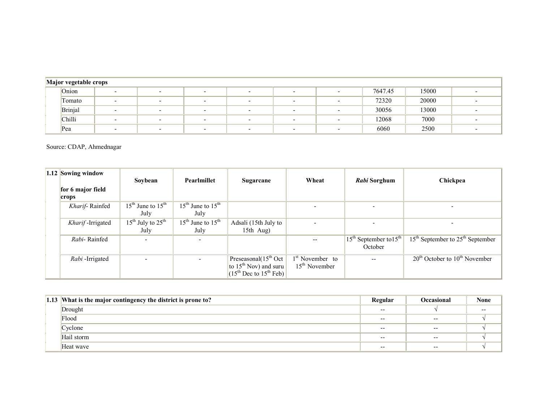|  | Major vegetable crops |                          |                          |                          |                          |                          |  |         |       |  |  |
|--|-----------------------|--------------------------|--------------------------|--------------------------|--------------------------|--------------------------|--|---------|-------|--|--|
|  | Onion                 | $\overline{\phantom{0}}$ | $\overline{\phantom{0}}$ | $\overline{\phantom{0}}$ | $\overline{\phantom{0}}$ |                          |  | 7647.45 | 15000 |  |  |
|  | Tomato                | $\overline{\phantom{0}}$ | $\overline{\phantom{0}}$ | $\overline{\phantom{0}}$ | $\overline{\phantom{0}}$ | $\overline{\phantom{a}}$ |  | 72320   | 20000 |  |  |
|  | Brinjal               | $\overline{\phantom{0}}$ | $\overline{\phantom{0}}$ |                          | -                        |                          |  | 30056   | 13000 |  |  |
|  | Chilli                |                          |                          |                          |                          |                          |  | 12068   | 7000  |  |  |
|  | Pea                   |                          |                          |                          | $\overline{\phantom{a}}$ |                          |  | 6060    | 2500  |  |  |

Source: CDAP, Ahmednagar

| 1.12 Sowing window | Sovbean                                   | Pearlmillet                               | Sugarcane                                                                              | Wheat                                          | <i>Rabi</i> Sorghum        | Chickpea                                |
|--------------------|-------------------------------------------|-------------------------------------------|----------------------------------------------------------------------------------------|------------------------------------------------|----------------------------|-----------------------------------------|
| for 6 major field  |                                           |                                           |                                                                                        |                                                |                            |                                         |
| crops              |                                           |                                           |                                                                                        |                                                |                            |                                         |
| Kharif-Rainfed     | $15th$ June to $15th$                     | $15^{\text{th}}$ June to $15^{\text{th}}$ |                                                                                        |                                                |                            |                                         |
|                    | July                                      | July                                      |                                                                                        |                                                |                            |                                         |
| Kharif-Irrigated   | $15^{\text{th}}$ July to $25^{\text{th}}$ | $15^{\text{th}}$ June to $15^{\text{th}}$ | Adsali (15th July to                                                                   |                                                |                            |                                         |
|                    | July                                      | July                                      | 15th $Aug)$                                                                            |                                                |                            |                                         |
| Rahi-Rainfed       | $\overline{\phantom{0}}$                  | $\overline{\phantom{a}}$                  |                                                                                        |                                                | $15th$ September to $15th$ | $15th$ September to $25th$ September    |
|                    |                                           |                                           |                                                                                        |                                                | October                    |                                         |
| Rabi-Irrigated     | $\overline{\phantom{0}}$                  |                                           | Preseasonal $(15th Oct$<br>to $15th$ Nov) and suru<br>$(15^{th}$ Dec to $15^{th}$ Feb) | 1 <sup>st</sup> November to<br>$15th$ November |                            | $20^{th}$ October to $10^{th}$ November |

| 1.13 What is the major contingency the district is prone to? | Regular | <b>Occasional</b> | <b>None</b> |
|--------------------------------------------------------------|---------|-------------------|-------------|
| Drought                                                      | $- -$   |                   | $- -$       |
| Flood                                                        | $- -$   | $- -$             |             |
| Cyclone                                                      | $- -$   | $- -$             |             |
| Hail storm                                                   | $- -$   | $- -$             |             |
| Heat wave                                                    | $- -$   | $- -$             |             |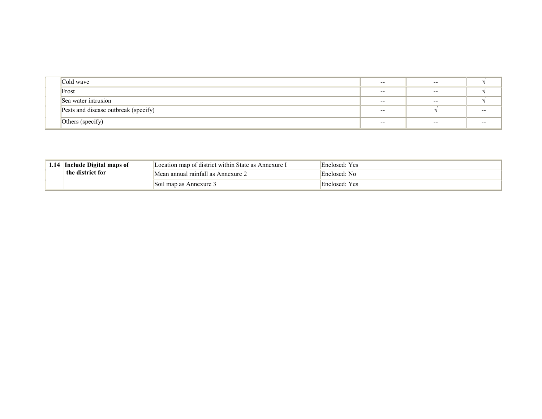| Cold wave                            | $- -$ | $- -$ |       |
|--------------------------------------|-------|-------|-------|
| Frost                                | $- -$ | $- -$ |       |
| Sea water intrusion                  | $- -$ | $- -$ |       |
| Pests and disease outbreak (specify) | $- -$ |       | $- -$ |
| Others (specify)                     | $- -$ | $- -$ | $- -$ |

| 1.14 Include Digital maps of | Location map of district within State as Annexure I | Enclosed: Yes |
|------------------------------|-----------------------------------------------------|---------------|
| the district for             | Mean annual rainfall as Annexure 2                  | Enclosed: No  |
|                              | Soil map as Annexure 3                              | Enclosed: Yes |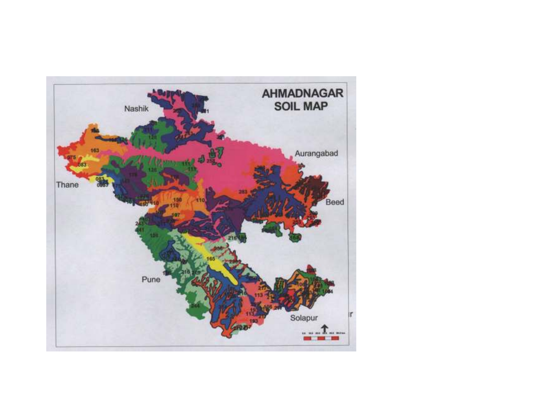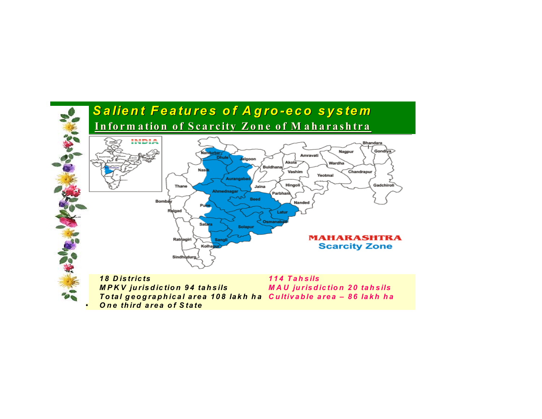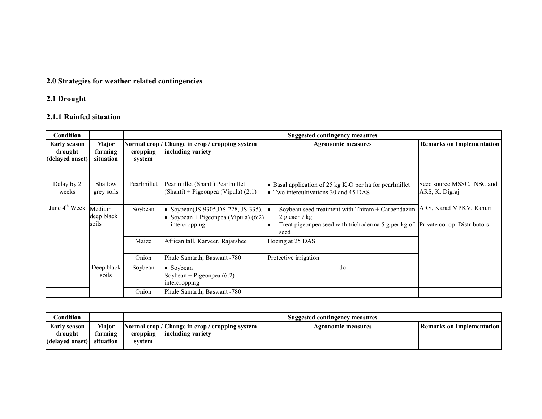## 2.0 Strategies for weather related contingencies

### 2.1 Drought

### 2.1.1 Rainfed situation

| Condition                                         |                               |                    |                                                                                             | <b>Suggested contingency measures</b>                                                                                              |                                                        |
|---------------------------------------------------|-------------------------------|--------------------|---------------------------------------------------------------------------------------------|------------------------------------------------------------------------------------------------------------------------------------|--------------------------------------------------------|
| <b>Early season</b><br>drought<br>(delayed onset) | Major<br>farming<br>situation | cropping<br>system | Normal crop / Change in crop / cropping system<br>including variety                         | <b>Agronomic measures</b>                                                                                                          | <b>Remarks on Implementation</b>                       |
| Delay by 2<br>weeks                               | Shallow<br>grey soils         | Pearlmillet        | Pearlmillet (Shanti) Pearlmillet<br>$(Shanti) + Pigeonpea (Vipula) (2:1)$                   | • Basal application of 25 kg $K_2O$ per ha for pearlmillet<br>• Two intercultivations 30 and 45 DAS                                | Seed source MSSC, NSC and<br>ARS, K. Digraj            |
| June $4^{th}$ Week Medium                         | deep black<br>soils           | Soybean            | Soybean(JS-9305,DS-228, JS-335),  <br>Soybean + Pigeonpea (Vipula) $(6:2)$<br>intercropping | Soybean seed treatment with Thiram + Carbendazim<br>2 g each / $kg$<br>Treat pigeonpea seed with trichoderma 5 g per kg of<br>seed | ARS, Karad MPKV, Rahuri<br>Private co. op Distributors |
|                                                   |                               | Maize<br>Onion     | African tall, Karveer, Rajarshee<br>Phule Samarth, Baswant -780                             | Hoeing at 25 DAS<br>Protective irrigation                                                                                          |                                                        |
|                                                   | Deep black<br>soils           | Soybean            | Soybean<br>Soybean + Pigeonpea $(6:2)$<br>intercropping                                     | $-do-$                                                                                                                             |                                                        |
|                                                   |                               | Onion              | Phule Samarth, Baswant -780                                                                 |                                                                                                                                    |                                                        |

| Condition                                         |                               |                    | Suggested contingency measures                                      |                    |                             |  |  |
|---------------------------------------------------|-------------------------------|--------------------|---------------------------------------------------------------------|--------------------|-----------------------------|--|--|
| <b>Early season</b><br>drought<br>(delayed onset) | Maior<br>farming<br>situation | cropping<br>svstem | Normal crop / Change in crop / cropping system<br>including variety | Agronomic measures | l Remarks on Implementation |  |  |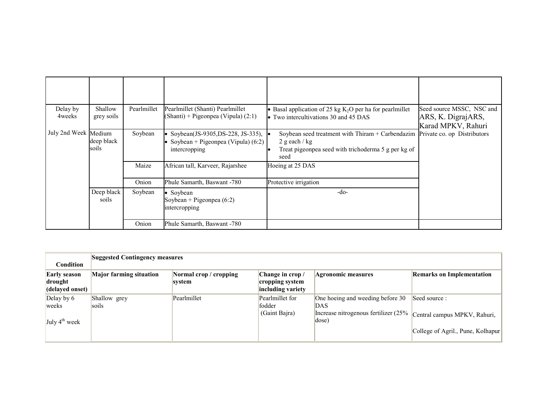| Delay by<br>4 weeks  | Shallow<br>grey soils | Pearlmillet | Pearlmillet (Shanti) Pearlmillet<br>(Shanti) + Pigeonpea (Vipula) (2:1)                   | • Basal application of 25 kg $K_2O$ per ha for pearlmillet<br>• Two intercultivations 30 and 45 DAS                                                              | Seed source MSSC, NSC and<br>ARS, K. DigrajARS,<br>Karad MPKV, Rahuri |
|----------------------|-----------------------|-------------|-------------------------------------------------------------------------------------------|------------------------------------------------------------------------------------------------------------------------------------------------------------------|-----------------------------------------------------------------------|
| July 2nd Week Medium | deep black<br>soils   | Soybean     | Soybean(JS-9305,DS-228, JS-335),<br>Soybean + Pigeonpea (Vipula) $(6.2)$<br>intercropping | Soybean seed treatment with Thiram $+$ Carbendazim Private co. op Distributors<br>2 g each / $kg$<br>Treat pigeonpea seed with trichoderma 5 g per kg of<br>seed |                                                                       |
|                      |                       | Maize       | African tall, Karveer, Rajarshee                                                          | Hoeing at 25 DAS                                                                                                                                                 |                                                                       |
|                      |                       | Onion       | Phule Samarth, Baswant -780                                                               | Protective irrigation                                                                                                                                            |                                                                       |
|                      | Deep black<br>soils   | Soybean     | Soybean<br>Soybean + Pigeonpea $(6:2)$<br>intercropping                                   | $-do-$                                                                                                                                                           |                                                                       |
|                      |                       | Onion       | Phule Samarth, Baswant -780                                                               |                                                                                                                                                                  |                                                                       |

| <b>Condition</b>                                  | <b>Suggested Contingency measures</b> |                                  |                                                         |                                                                                          |                                                                                    |  |  |  |
|---------------------------------------------------|---------------------------------------|----------------------------------|---------------------------------------------------------|------------------------------------------------------------------------------------------|------------------------------------------------------------------------------------|--|--|--|
| <b>Early season</b><br>drought<br>(delayed onset) | <b>Major farming situation</b>        | Normal crop / cropping<br>system | Change in crop/<br>cropping system<br>including variety | <b>Agronomic measures</b>                                                                | <b>Remarks on Implementation</b>                                                   |  |  |  |
| Delay by 6<br>weeks<br>July $4^{\text{th}}$ week  | Shallow grey<br>soils                 | Pearlmillet                      | Pearlmillet for<br>fodder<br>(Gaint Bajra)              | One hoeing and weeding before 30<br>DAS<br>Increase nitrogenous fertilizer (25%<br>dose) | Seed source :<br>Central campus MPKV, Rahuri,<br>College of Agril., Pune, Kolhapur |  |  |  |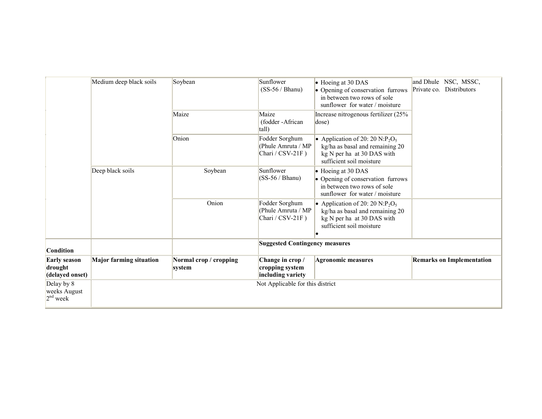|                                                   | Medium deep black soils        | Soybean                          | Sunflower<br>$(SS-56 / Bhanu)$                              | • Hoeing at 30 DAS<br>• Opening of conservation furrows<br>in between two rows of sole<br>sunflower for water / moisture                             | and Dhule NSC, MSSC,<br>Private co. Distributors |
|---------------------------------------------------|--------------------------------|----------------------------------|-------------------------------------------------------------|------------------------------------------------------------------------------------------------------------------------------------------------------|--------------------------------------------------|
|                                                   |                                | Maize                            | Maize<br>(fodder-African<br>tall)                           | Increase nitrogenous fertilizer (25%<br>dose)                                                                                                        |                                                  |
|                                                   |                                | Onion                            | Fodder Sorghum<br>(Phule Amruta / MP<br>Chari / $CSV-21F$ ) | • Application of 20: 20 N:P <sub>2</sub> O <sub>5</sub><br>kg/ha as basal and remaining 20<br>kg N per ha at 30 DAS with<br>sufficient soil moisture |                                                  |
|                                                   | Deep black soils               | Soybean                          | Sunflower<br>$(SS-56 / Bhanu)$                              | • Hoeing at 30 DAS<br>• Opening of conservation furrows<br>in between two rows of sole<br>sunflower for water / moisture                             |                                                  |
|                                                   |                                | Onion                            | Fodder Sorghum<br>(Phule Amruta / MP<br>Chari / CSV-21F)    | • Application of 20: 20 N:P <sub>2</sub> O <sub>5</sub><br>kg/ha as basal and remaining 20<br>kg N per ha at 30 DAS with<br>sufficient soil moisture |                                                  |
| <b>Condition</b>                                  |                                |                                  | <b>Suggested Contingency measures</b>                       |                                                                                                                                                      |                                                  |
| <b>Early season</b><br>drought<br>(delayed onset) | <b>Major farming situation</b> | Normal crop / cropping<br>system | Change in crop/<br>cropping system<br>including variety     | <b>Agronomic measures</b>                                                                                                                            | <b>Remarks on Implementation</b>                 |
| Delay by 8<br>weeks August<br>$2nd$ week          |                                |                                  | Not Applicable for this district                            |                                                                                                                                                      |                                                  |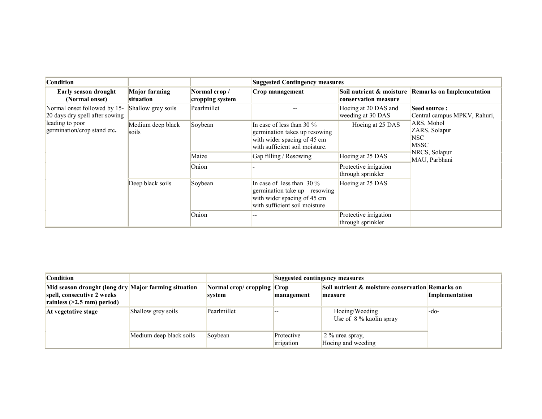| <b>Condition</b>                                               |                                   |                                  |                                                                                                                                |                                            |                                                    |
|----------------------------------------------------------------|-----------------------------------|----------------------------------|--------------------------------------------------------------------------------------------------------------------------------|--------------------------------------------|----------------------------------------------------|
| Early season drought<br>(Normal onset)                         | <b>Major farming</b><br>situation | Normal crop /<br>cropping system | Crop management                                                                                                                | conservation measure                       | Soil nutrient & moisture Remarks on Implementation |
| Normal onset followed by 15-<br>20 days dry spell after sowing | Shallow grey soils                | Pearlmillet                      |                                                                                                                                | Hoeing at 20 DAS and<br>weeding at 30 DAS  | Seed source:<br>Central campus MPKV, Rahuri,       |
| leading to poor<br>germination/crop stand etc.                 | Medium deep black<br>soils        | Soybean                          | In case of less than 30 $\%$<br>germination takes up resowing<br>with wider spacing of 45 cm<br>with sufficient soil moisture. | Hoeing at 25 DAS                           | ARS, Mohol<br>ZARS, Solapur<br>NSC-<br><b>MSSC</b> |
|                                                                |                                   | Maize                            | Gap filling / Resowing                                                                                                         | Hoeing at 25 DAS                           | NRCS, Solapur<br>MAU, Parbhani                     |
|                                                                |                                   | Onion                            |                                                                                                                                | Protective irrigation<br>through sprinkler |                                                    |
|                                                                | Deep black soils                  | Soybean                          | In case of less than $30\%$<br>germination take up resowing<br>with wider spacing of 45 cm<br>with sufficient soil moisture    | Hoeing at 25 DAS                           |                                                    |
|                                                                |                                   | Onion                            |                                                                                                                                | Protective irrigation<br>through sprinkler |                                                    |

| <b>Condition</b>                                                                                                   |                         |                                      | Suggested contingency measures |                                                             |                       |  |
|--------------------------------------------------------------------------------------------------------------------|-------------------------|--------------------------------------|--------------------------------|-------------------------------------------------------------|-----------------------|--|
| Mid season drought (long dry Major farming situation<br>spell, consecutive 2 weeks<br>rainless $(>2.5$ mm) period) |                         | Normal crop/ cropping Crop<br>svstem | management                     | Soil nutrient & moisture conservation Remarks on<br>measure | <i>Implementation</i> |  |
| At vegetative stage                                                                                                | Shallow grey soils      | Pearlmillet                          |                                | Hoeing/Weeding<br>Use of $8\%$ kaolin spray                 | $-$ do-               |  |
|                                                                                                                    | Medium deep black soils | Soybean                              | Protective<br>irrigation       | 2 % urea spray,<br>Hoeing and weeding                       |                       |  |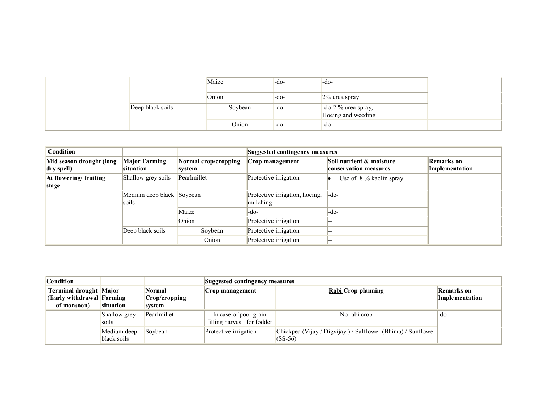|                  | Maize   | -do- | $-do-$                                       |  |
|------------------|---------|------|----------------------------------------------|--|
|                  | Onion   | -do- | $2\%$ urea spray                             |  |
| Deep black soils | Soybean | -do- | $-$ do-2 % urea spray,<br>Hoeing and weeding |  |
|                  | Onion   | -do- | $-do-$                                       |  |

| <b>Condition</b>         |                                    |                      |                                            | <b>Suggested contingency measures</b> |                   |  |  |
|--------------------------|------------------------------------|----------------------|--------------------------------------------|---------------------------------------|-------------------|--|--|
| Mid season drought (long | <b>Major Farming</b>               | Normal crop/cropping | Crop management                            | Soil nutrient & moisture              | <b>Remarks</b> on |  |  |
| dry spell)               | situation                          | system               |                                            | conservation measures                 | Implementation    |  |  |
| At flowering/fruiting    | Shallow grey soils                 | Pearlmillet          | Protective irrigation                      | Use of 8 % kaolin spray               |                   |  |  |
| stage                    |                                    |                      |                                            |                                       |                   |  |  |
|                          | Medium deep black Soybean<br>soils |                      | Protective irrigation, hoeing,<br>mulching | -do-                                  |                   |  |  |
|                          |                                    | Maize                | -do-                                       | -do-                                  |                   |  |  |
|                          |                                    | Onion                | Protective irrigation                      |                                       |                   |  |  |
|                          | Deep black soils                   | Soybean              | Protective irrigation                      |                                       |                   |  |  |
|                          |                                    | Onion                | Protective irrigation                      |                                       |                   |  |  |

| <b>Condition</b>                                                          |                            |                                          |                                                     | Suggested contingency measures                                            |                                     |  |  |
|---------------------------------------------------------------------------|----------------------------|------------------------------------------|-----------------------------------------------------|---------------------------------------------------------------------------|-------------------------------------|--|--|
| <b>Terminal drought Major</b><br>(Early withdrawal Farming<br>of monsoon) | situation                  | <b>Normal</b><br>Crop/cropping<br>svstem | Crop management                                     | <b>Rabi</b> Crop planning                                                 | <b>Remarks</b> on<br>Implementation |  |  |
|                                                                           | Shallow grey<br>soils      | Pearlmillet                              | In case of poor grain<br>filling harvest for fodder | No rabi crop                                                              | -do-                                |  |  |
|                                                                           | Medium deep<br>black soils | Soybean                                  | Protective irrigation                               | Chickpea (Vijay / Digvijay ) / Safflower (Bhima) / Sunflower<br>$(SS-56)$ |                                     |  |  |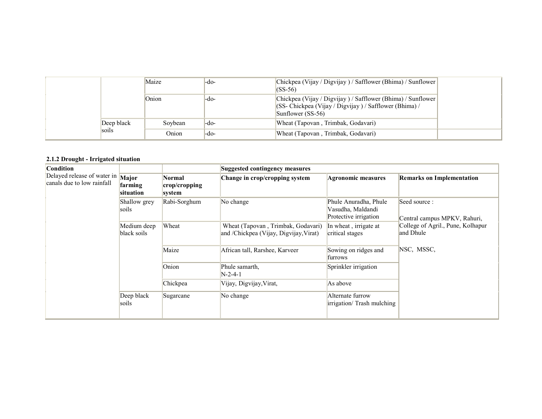|            | Maize   | -do- | Chickpea (Vijay / Digvijay ) / Safflower (Bhima) / Sunflower<br>$(SS-56)$                                                                                   |
|------------|---------|------|-------------------------------------------------------------------------------------------------------------------------------------------------------------|
|            | Onion   | -do- | Chickpea (Vijay / Digvijay ) / Safflower (Bhima) / Sunflower<br>$ $ (SS- Chickpea (Vijay / Digvijay ) / Safflower (Bhima) /<br>$\mathsf{Sumflower}$ (SS-56) |
| Deep black | Sovbean | -do- | Wheat (Tapovan, Trimbak, Godavari)                                                                                                                          |
| soils      | Onion   | -do- | Wheat (Tapovan, Trimbak, Godavari)                                                                                                                          |

#### 2.1.2 Drought - Irrigated situation

| <b>Condition</b>                                                                    |                            |                                   | Suggested contingency measures                                               |                                                                     |                                                |
|-------------------------------------------------------------------------------------|----------------------------|-----------------------------------|------------------------------------------------------------------------------|---------------------------------------------------------------------|------------------------------------------------|
| Delayed release of water in $\overline{\text{Major}}$<br>canals due to low rainfall | farming<br>situation       | Normal<br>crop/cropping<br>system | Change in crop/cropping system                                               | Agronomic measures                                                  | <b>Remarks on Implementation</b>               |
|                                                                                     | Shallow grey<br>soils      | Rabi-Sorghum                      | No change                                                                    | Phule Anuradha, Phule<br>Vasudha, Maldandi<br>Protective irrigation | Seed source:<br>Central campus MPKV, Rahuri,   |
|                                                                                     | Medium deep<br>black soils | Wheat                             | Wheat (Tapovan, Trimbak, Godavari)<br>and /Chickpea (Vijay, Digvijay, Virat) | In wheat, irrigate at<br>critical stages                            | College of Agril., Pune, Kolhapur<br>and Dhule |
|                                                                                     |                            | Maize                             | African tall, Rarshee, Karveer                                               | Sowing on ridges and<br>furrows                                     | NSC, MSSC,                                     |
|                                                                                     |                            | Onion                             | Phule samarth,<br>$N-2-4-1$                                                  | Sprinkler irrigation                                                |                                                |
|                                                                                     |                            | Chickpea                          | Vijay, Digvijay, Virat,                                                      | As above                                                            |                                                |
|                                                                                     | Deep black<br>soils        | Sugarcane                         | No change                                                                    | Alternate furrow<br>irrigation/ Trash mulching                      |                                                |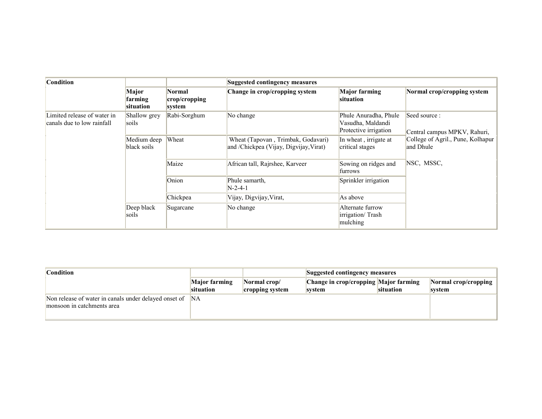| <b>Condition</b>                                          |                               |                                   | <b>Suggested contingency measures</b>                                        |                                                                     |                                                |
|-----------------------------------------------------------|-------------------------------|-----------------------------------|------------------------------------------------------------------------------|---------------------------------------------------------------------|------------------------------------------------|
|                                                           | Major<br>farming<br>situation | Normal<br>crop/cropping<br>system | Change in crop/cropping system                                               | <b>Major farming</b><br>situation                                   | Normal crop/cropping system                    |
| Limited release of water in<br>canals due to low rainfall | Shallow grey<br>soils         | Rabi-Sorghum                      | No change                                                                    | Phule Anuradha, Phule<br>Vasudha, Maldandi<br>Protective irrigation | Seed source:<br>Central campus MPKV, Rahuri,   |
|                                                           | Medium deep<br>black soils    | Wheat                             | Wheat (Tapovan, Trimbak, Godavari)<br>and /Chickpea (Vijay, Digvijay, Virat) | In wheat, irrigate at<br>critical stages                            | College of Agril., Pune, Kolhapur<br>and Dhule |
|                                                           |                               | Maize                             | African tall, Rajrshee, Karveer                                              | Sowing on ridges and<br>furrows                                     | NSC, MSSC,                                     |
|                                                           |                               | Onion                             | Phule samarth.<br>N-2-4-1                                                    | Sprinkler irrigation                                                |                                                |
|                                                           |                               | Chickpea                          | Vijay, Digvijay, Virat,                                                      | As above                                                            |                                                |
|                                                           | Deep black<br>soils           | Sugarcane                         | No change                                                                    | Alternate furrow<br>irrigation/Trash<br>mulching                    |                                                |

| <b>Condition</b>                                         |                      |                 | Suggested contingency measures        |           |                      |
|----------------------------------------------------------|----------------------|-----------------|---------------------------------------|-----------|----------------------|
|                                                          | <b>Major farming</b> | Normal crop/    | Change in crop/cropping Major farming |           | Normal crop/cropping |
|                                                          | situation            | cropping system | system                                | situation | svstem               |
| Non release of water in canals under delayed onset of NA |                      |                 |                                       |           |                      |
| monsoon in catchments area                               |                      |                 |                                       |           |                      |
|                                                          |                      |                 |                                       |           |                      |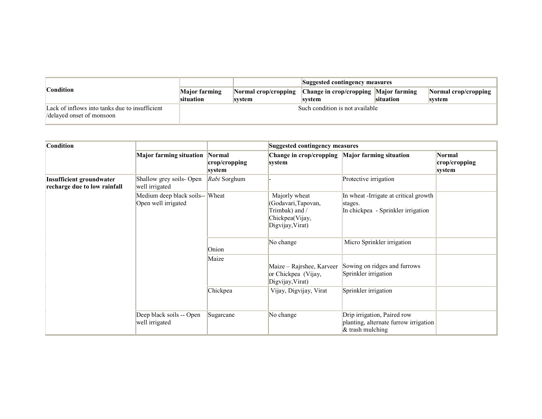|                                                                            | Suggested contingency measures |                                |                                                 |           |                                       |
|----------------------------------------------------------------------------|--------------------------------|--------------------------------|-------------------------------------------------|-----------|---------------------------------------|
| <b>Condition</b>                                                           | Major farming<br>situation     | Normal crop/cropping<br>svstem | Change in crop/cropping Major farming<br>svstem | situation | <b>Normal crop/cropping</b><br>svstem |
| Lack of inflows into tanks due to insufficient<br>delayed onset of monsoon |                                |                                | Such condition is not available                 |           |                                       |

| <b>Condition</b>                                                |                                                        |                                   | Suggested contingency measures                                                                |                                                                                             |                                          |  |
|-----------------------------------------------------------------|--------------------------------------------------------|-----------------------------------|-----------------------------------------------------------------------------------------------|---------------------------------------------------------------------------------------------|------------------------------------------|--|
|                                                                 | <b>Major farming situation</b>                         | Normal<br>crop/cropping<br>system | Change in crop/cropping Major farming situation<br>system                                     |                                                                                             | <b>Normal</b><br>crop/cropping<br>system |  |
| <b>Insufficient groundwater</b><br>recharge due to low rainfall | Shallow grey soils- Open<br>well irrigated             | Rabi Sorghum                      |                                                                                               | Protective irrigation                                                                       |                                          |  |
|                                                                 | Medium deep black soils-- Wheat<br>Open well irrigated |                                   | Majorly wheat<br>(Godavari, Tapovan,<br>Trimbak) and /<br>Chickpea(Vijay,<br>Digvijay, Virat) | In wheat -Irrigate at critical growth<br>stages.<br>In chickpea - Sprinkler irrigation      |                                          |  |
|                                                                 |                                                        | Onion                             | No change                                                                                     | Micro Sprinkler irrigation                                                                  |                                          |  |
|                                                                 |                                                        | Maize                             | Maize - Rajrshee, Karveer<br>or Chickpea (Vijay,<br>Digvijay, Virat)                          | Sowing on ridges and furrows<br>Sprinkler irrigation                                        |                                          |  |
|                                                                 |                                                        | Chickpea                          | Vijay, Digvijay, Virat                                                                        | Sprinkler irrigation                                                                        |                                          |  |
|                                                                 | Deep black soils -- Open<br>well irrigated             | Sugarcane                         | No change                                                                                     | Drip irrigation, Paired row<br>planting, alternate furrow irrigation<br>$\&$ trash mulching |                                          |  |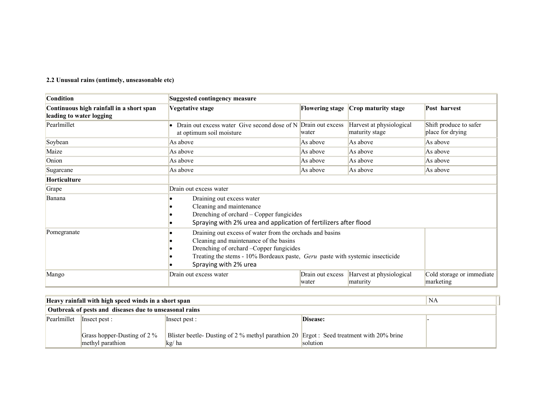#### 2.2 Unusual rains (untimely, unseasonable etc)

| <b>Condition</b>                                                     | <b>Suggested contingency measure</b>                                                                                                                                                                                                                            |                           |                                            |                                            |  |
|----------------------------------------------------------------------|-----------------------------------------------------------------------------------------------------------------------------------------------------------------------------------------------------------------------------------------------------------------|---------------------------|--------------------------------------------|--------------------------------------------|--|
| Continuous high rainfall in a short span<br>leading to water logging | <b>Vegetative stage</b>                                                                                                                                                                                                                                         | <b>Flowering stage</b>    | Crop maturity stage                        | Post harvest                               |  |
| Pearlmillet                                                          | Drain out excess water Give second dose of N<br>at optimum soil moisture                                                                                                                                                                                        | Drain out excess<br>water | Harvest at physiological<br>maturity stage | Shift produce to safer<br>place for drying |  |
| Soybean                                                              | As above                                                                                                                                                                                                                                                        | As above                  | As above                                   | As above                                   |  |
| Maize                                                                | As above                                                                                                                                                                                                                                                        | As above                  | As above                                   | As above                                   |  |
| Onion                                                                | As above                                                                                                                                                                                                                                                        | As above                  | As above                                   | As above                                   |  |
| Sugarcane                                                            | As above                                                                                                                                                                                                                                                        | As above                  | As above                                   | As above                                   |  |
| <b>Horticulture</b>                                                  |                                                                                                                                                                                                                                                                 |                           |                                            |                                            |  |
| Grape                                                                | Drain out excess water                                                                                                                                                                                                                                          |                           |                                            |                                            |  |
| Banana                                                               | Draining out excess water                                                                                                                                                                                                                                       |                           |                                            |                                            |  |
|                                                                      | Cleaning and maintenance<br>Drenching of orchard - Copper fungicides<br>Spraying with 2% urea and application of fertilizers after flood                                                                                                                        |                           |                                            |                                            |  |
| Pomegranate                                                          | Draining out excess of water from the orchads and basins<br>Cleaning and maintenance of the basins<br>Drenching of orchard - Copper fungicides<br>Treating the stems - 10% Bordeaux paste, <i>Geru</i> paste with systemic insecticide<br>Spraying with 2% urea |                           |                                            |                                            |  |
| Mango                                                                | Drain out excess water                                                                                                                                                                                                                                          | Drain out excess<br>water | Harvest at physiological<br>maturity       | Cold storage or immediate<br>marketing     |  |

| Heavy rainfall with high speed winds in a short span   | NA                          |                                                                                          |          |  |
|--------------------------------------------------------|-----------------------------|------------------------------------------------------------------------------------------|----------|--|
| Outbreak of pests and diseases due to unseasonal rains |                             |                                                                                          |          |  |
|                                                        | Pearlmillet   Insect pest : | Insect pest :                                                                            | Disease: |  |
|                                                        |                             |                                                                                          |          |  |
|                                                        | Grass hopper-Dusting of 2 % | Blister beetle- Dusting of 2 % methyl parathion 20 Ergot : Seed treatment with 20% brine |          |  |
|                                                        | methyl parathion            | kg/ha                                                                                    | solution |  |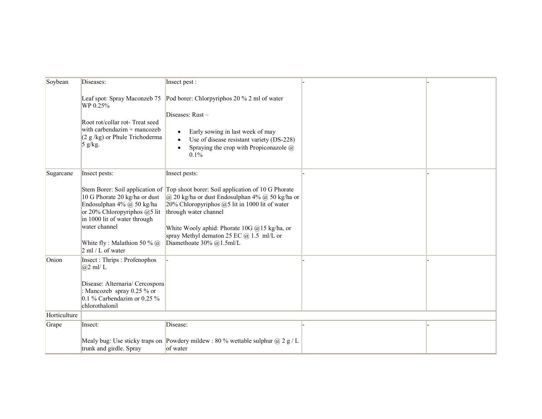| Soybean      | Diseases:                                                                                                                                                                                         | Insect pest :                                                                                                                                                                                                                                                                                                                                                   |  |
|--------------|---------------------------------------------------------------------------------------------------------------------------------------------------------------------------------------------------|-----------------------------------------------------------------------------------------------------------------------------------------------------------------------------------------------------------------------------------------------------------------------------------------------------------------------------------------------------------------|--|
|              | Leaf spot: Spray Maconzeb 75<br>WP 0.25%                                                                                                                                                          | Pod borer: Chlorpyriphos 20 % 2 ml of water                                                                                                                                                                                                                                                                                                                     |  |
|              | Root rot/collar rot-Treat seed<br>with carbendazim $+$ mancozeb<br>$(2 g/kg)$ or Phule Trichoderma<br>$5$ g/kg.                                                                                   | Diseases: Rust-<br>Early sowing in last week of may<br>٠<br>Use of disease resistant variety (DS-228)<br>Spraying the crop with Propiconazole $\omega$<br>$\bullet$<br>$0.1\%$                                                                                                                                                                                  |  |
| Sugarcane    | Insect pests:                                                                                                                                                                                     | Insect pests:                                                                                                                                                                                                                                                                                                                                                   |  |
|              | 10 G Phorate 20 kg/ha or dust<br>Endosulphan 4% @ 50 kg/ha<br>or 20% Chloropyriphos @5 lit<br>in 1000 lit of water through<br>water channel<br>White fly: Malathion 50 % $@$<br>2 ml / L of water | Stem Borer: Soil application of Top shoot borer: Soil application of 10 G Phorate<br>$ a\rangle$ 20 kg/ha or dust Endosulphan 4% $a\rangle$ 50 kg/ha or<br>20% Chloropyriphos $(25$ lit in 1000 lit of water<br>through water channel<br>White Wooly aphid: Phorate 10G @15 kg/ha, or<br>spray Methyl dematon 25 EC $@$ 1.5 ml/L or<br>Diamethoate 30% @1.5ml/L |  |
| Onion        | Insect: Thrips: Profenophos<br>$(a)$ 2 ml/L<br>Disease: Alternaria/ Cercospora<br>: Mancozeb spray 0.25 % or<br>0.1 % Carbendazim or 0.25 %<br>chlorothalonil                                     |                                                                                                                                                                                                                                                                                                                                                                 |  |
| Horticulture |                                                                                                                                                                                                   |                                                                                                                                                                                                                                                                                                                                                                 |  |
| Grape        | Insect:                                                                                                                                                                                           | Disease:                                                                                                                                                                                                                                                                                                                                                        |  |
|              | trunk and girdle. Spray                                                                                                                                                                           | Mealy bug: Use sticky traps on Powdery mildew : 80 % wettable sulphur $\omega$ 2 g / L<br>of water                                                                                                                                                                                                                                                              |  |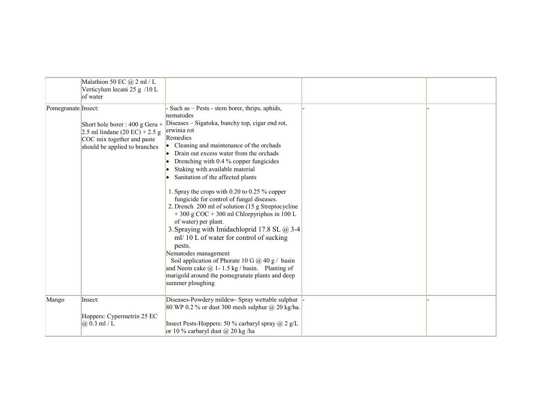|                     | Malathion 50 EC @ 2 ml / L<br>Verticylum lecani 25 g /10 L<br>of water                                                                             |                                                                                                                                                                                                                                                                                                                                                                                                                                                                                                                                                                                                                                                                                                                                                                                                                                                                                                            |  |
|---------------------|----------------------------------------------------------------------------------------------------------------------------------------------------|------------------------------------------------------------------------------------------------------------------------------------------------------------------------------------------------------------------------------------------------------------------------------------------------------------------------------------------------------------------------------------------------------------------------------------------------------------------------------------------------------------------------------------------------------------------------------------------------------------------------------------------------------------------------------------------------------------------------------------------------------------------------------------------------------------------------------------------------------------------------------------------------------------|--|
| Pomegranate Insect: | Short hole borer : 400 g Geru +<br>2.5 ml lindane $(20 \text{ EC}) + 2.5 \text{ g}$<br>COC mix together and paste<br>should be applied to branches | Such as – Pests - stem borer, thrips, aphids,<br>nematodes<br>Diseases – Sigatoka, bunchy top, cigar end rot,<br>erwinia rot<br>Remedies<br>• Cleaning and maintenance of the orchads<br>Drain out excess water from the orchads<br>Drenching with 0.4 % copper fungicides<br>Staking with available material<br>٠<br>Sanitation of the affected plants<br>1. Spray the crops with 0.20 to 0.25 % copper<br>fungicide for control of fungal diseases.<br>2. Drench 200 ml of solution (15 g Streptocycline<br>$+300$ g COC $+300$ ml Chlorpyriphos in 100 L<br>of water) per plant.<br>3. Spraying with Imidachloprid 17.8 SL @ 3-4<br>ml/ 10 L of water for control of sucking<br>pests.<br>Nematodes management<br>Soil application of Phorate 10 G $\omega$ 40 g / basin<br>and Neem cake $\omega$ 1-1.5 kg / basin. Planting of<br>marigold around the pomegranate plants and deep<br>summer ploughing |  |
| Mango               | Insect:<br>Hoppers: Cypermetrin 25 EC<br>$(a)$ 0.3 ml / L                                                                                          | Diseases-Powdery mildew- Spray wettable sulphur<br>80 WP 0.2 % or dust 300 mesh sulphur $\omega$ 20 kg/ha.<br>Insect Pests-Hoppers: 50 % carbaryl spray $(a)$ 2 g/L<br>or 10 % carbaryl dust $(a)$ 20 kg/ha                                                                                                                                                                                                                                                                                                                                                                                                                                                                                                                                                                                                                                                                                                |  |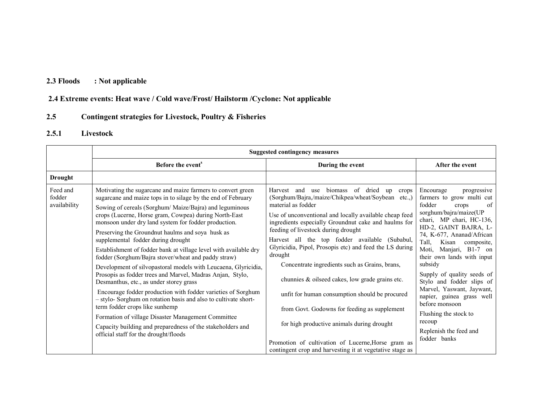### 2.3 Floods : Not applicable

### 2.4 Extreme events: Heat wave / Cold wave/Frost/ Hailstorm /Cyclone: Not applicable

#### 2.5Contingent strategies for Livestock, Poultry & Fisheries

### 2.5.1 Livestock

|                                    | <b>Suggested contingency measures</b>                                                                                                                                                                                                                                                                                                                                                                                                                                                                                                                                                                                                                                                                                                                                                                                                                                                                                                                                                                                                    |                                                                                                                                                                                                                                                                                                                                                                                                                                                                                                                                                                                                                                                                                                                                                                                           |                                                                                                                                                                                                                                                                                                                                                                                                                                                                                                                |  |  |
|------------------------------------|------------------------------------------------------------------------------------------------------------------------------------------------------------------------------------------------------------------------------------------------------------------------------------------------------------------------------------------------------------------------------------------------------------------------------------------------------------------------------------------------------------------------------------------------------------------------------------------------------------------------------------------------------------------------------------------------------------------------------------------------------------------------------------------------------------------------------------------------------------------------------------------------------------------------------------------------------------------------------------------------------------------------------------------|-------------------------------------------------------------------------------------------------------------------------------------------------------------------------------------------------------------------------------------------------------------------------------------------------------------------------------------------------------------------------------------------------------------------------------------------------------------------------------------------------------------------------------------------------------------------------------------------------------------------------------------------------------------------------------------------------------------------------------------------------------------------------------------------|----------------------------------------------------------------------------------------------------------------------------------------------------------------------------------------------------------------------------------------------------------------------------------------------------------------------------------------------------------------------------------------------------------------------------------------------------------------------------------------------------------------|--|--|
|                                    | Before the event <sup>s</sup>                                                                                                                                                                                                                                                                                                                                                                                                                                                                                                                                                                                                                                                                                                                                                                                                                                                                                                                                                                                                            | During the event                                                                                                                                                                                                                                                                                                                                                                                                                                                                                                                                                                                                                                                                                                                                                                          | After the event                                                                                                                                                                                                                                                                                                                                                                                                                                                                                                |  |  |
| <b>Drought</b>                     |                                                                                                                                                                                                                                                                                                                                                                                                                                                                                                                                                                                                                                                                                                                                                                                                                                                                                                                                                                                                                                          |                                                                                                                                                                                                                                                                                                                                                                                                                                                                                                                                                                                                                                                                                                                                                                                           |                                                                                                                                                                                                                                                                                                                                                                                                                                                                                                                |  |  |
| Feed and<br>fodder<br>availability | Motivating the sugarcane and maize farmers to convert green<br>sugarcane and maize tops in to silage by the end of February<br>Sowing of cereals (Sorghum/ Maize/Bajra) and leguminous<br>crops (Lucerne, Horse gram, Cowpea) during North-East<br>monsoon under dry land system for fodder production.<br>Preserving the Groundnut haulms and soya husk as<br>supplemental fodder during drought<br>Establishment of fodder bank at village level with available dry<br>fodder (Sorghum/Bajra stover/wheat and paddy straw)<br>Development of silvopastoral models with Leucaena, Glyricidia,<br>Prosopis as fodder trees and Marvel, Madras Anjan, Stylo,<br>Desmanthus, etc., as under storey grass<br>Encourage fodder production with fodder varieties of Sorghum<br>- stylo- Sorghum on rotation basis and also to cultivate short-<br>term fodder crops like sunhemp<br>Formation of village Disaster Management Committee<br>Capacity building and preparedness of the stakeholders and<br>official staff for the drought/floods | biomass of dried<br>Harvest and<br>use<br>up<br>crops<br>(Sorghum/Bajra,/maize/Chikpea/wheat/Soybean etc.,)<br>material as fodder<br>Use of unconventional and locally available cheap feed<br>ingredients especially Groundnut cake and haulms for<br>feeding of livestock during drought<br>Harvest all the top fodder available (Subabul,<br>Glyricidia, Pipol, Prosopis etc) and feed the LS during<br>drought<br>Concentrate ingredients such as Grains, brans,<br>chunnies & oilseed cakes, low grade grains etc.<br>unfit for human consumption should be procured<br>from Govt. Godowns for feeding as supplement<br>for high productive animals during drought<br>Promotion of cultivation of Lucerne, Horse gram as<br>contingent crop and harvesting it at vegetative stage as | Encourage<br>progressive<br>farmers to grow multi cut<br>fodder<br>of<br>crops<br>sorghum/bajra/maize(UP<br>chari, MP chari, HC-136,<br>HD-2, GAINT BAJRA, L-<br>74, K-677, Ananad/African<br>Tall,<br>Kisan composite,<br>Moti, Manjari, B1-7 on<br>their own lands with input<br>subsidy<br>Supply of quality seeds of<br>Stylo and fodder slips of<br>Marvel, Yaswant, Jaywant,<br>napier, guinea grass well<br>before monsoon<br>Flushing the stock to<br>recoup<br>Replenish the feed and<br>fodder banks |  |  |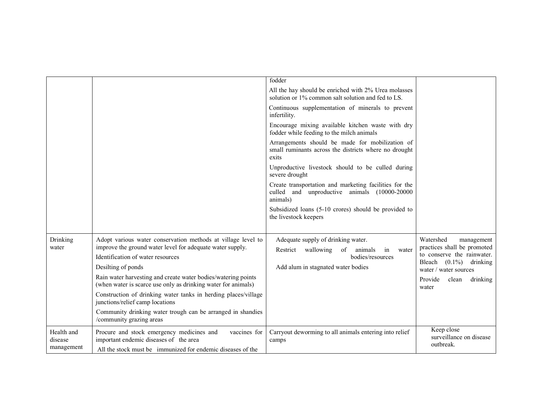|                       |                                                                                                                                | fodder                                                                                                             |                                                            |
|-----------------------|--------------------------------------------------------------------------------------------------------------------------------|--------------------------------------------------------------------------------------------------------------------|------------------------------------------------------------|
|                       |                                                                                                                                | All the hay should be enriched with 2% Urea molasses<br>solution or 1% common salt solution and fed to LS.         |                                                            |
|                       |                                                                                                                                | Continuous supplementation of minerals to prevent<br>infertility.                                                  |                                                            |
|                       |                                                                                                                                | Encourage mixing available kitchen waste with dry<br>fodder while feeding to the milch animals                     |                                                            |
|                       |                                                                                                                                | Arrangements should be made for mobilization of<br>small ruminants across the districts where no drought<br>exits  |                                                            |
|                       |                                                                                                                                | Unproductive livestock should to be culled during<br>severe drought                                                |                                                            |
|                       |                                                                                                                                | Create transportation and marketing facilities for the<br>culled and unproductive animals (10000-20000<br>animals) |                                                            |
|                       |                                                                                                                                | Subsidized loans (5-10 crores) should be provided to<br>the livestock keepers                                      |                                                            |
| Drinking<br>water     | Adopt various water conservation methods at village level to<br>improve the ground water level for adequate water supply.      | Adequate supply of drinking water.<br>Restrict wallowing<br>of<br>animals<br>in<br>water                           | Watershed<br>management<br>practices shall be promoted     |
|                       | Identification of water resources                                                                                              | bodies/resources                                                                                                   | to conserve the rainwater.<br>Bleach $(0.1\%)$<br>drinking |
|                       | Desilting of ponds                                                                                                             | Add alum in stagnated water bodies                                                                                 | water / water sources                                      |
|                       | Rain water harvesting and create water bodies/watering points<br>(when water is scarce use only as drinking water for animals) |                                                                                                                    | Provide<br>clean<br>drinking<br>water                      |
|                       | Construction of drinking water tanks in herding places/village<br>junctions/relief camp locations                              |                                                                                                                    |                                                            |
|                       | Community drinking water trough can be arranged in shandies<br>/community grazing areas                                        |                                                                                                                    |                                                            |
| Health and<br>disease | Procure and stock emergency medicines and<br>vaccines for<br>important endemic diseases of the area                            | Carryout deworming to all animals entering into relief<br>camps                                                    | Keep close<br>surveillance on disease<br>outbreak.         |
| management            | All the stock must be immunized for endemic diseases of the                                                                    |                                                                                                                    |                                                            |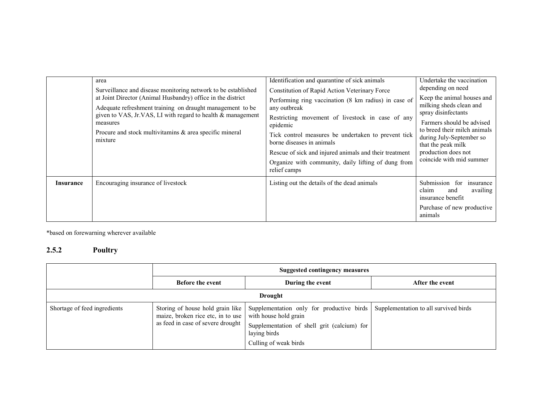|                  | area<br>Surveillance and disease monitoring network to be established<br>at Joint Director (Animal Husbandry) office in the district<br>Adequate refreshment training on draught management to be<br>given to VAS, Jr.VAS, LI with regard to health & management<br>measures<br>Procure and stock multivitaming & area specific mineral<br>mixture | Identification and quarantine of sick animals<br>Constitution of Rapid Action Veterinary Force<br>Performing ring vaccination (8 km radius) in case of<br>any outbreak<br>Restricting movement of livestock in case of any<br>epidemic<br>Tick control measures be undertaken to prevent tick<br>borne diseases in animals<br>Rescue of sick and injured animals and their treatment<br>Organize with community, daily lifting of dung from<br>relief camps | Undertake the vaccination<br>depending on need<br>Keep the animal houses and<br>milking sheds clean and<br>spray disinfectants<br>Farmers should be advised<br>to breed their milch animals<br>during July-September so<br>that the peak milk<br>production does not<br>coincide with mid summer |
|------------------|----------------------------------------------------------------------------------------------------------------------------------------------------------------------------------------------------------------------------------------------------------------------------------------------------------------------------------------------------|-------------------------------------------------------------------------------------------------------------------------------------------------------------------------------------------------------------------------------------------------------------------------------------------------------------------------------------------------------------------------------------------------------------------------------------------------------------|--------------------------------------------------------------------------------------------------------------------------------------------------------------------------------------------------------------------------------------------------------------------------------------------------|
| <b>Insurance</b> | Encouraging insurance of livestock                                                                                                                                                                                                                                                                                                                 | Listing out the details of the dead animals                                                                                                                                                                                                                                                                                                                                                                                                                 | Submission for<br>insurance<br>claim<br>availing<br>and<br>insurance benefit<br>Purchase of new productive<br>animals                                                                                                                                                                            |

\*based on forewarning wherever available

### 2.5.2 Poultry

|                              | Suggested contingency measures                                         |                                                                                                                                                                                                 |                                       |  |  |  |
|------------------------------|------------------------------------------------------------------------|-------------------------------------------------------------------------------------------------------------------------------------------------------------------------------------------------|---------------------------------------|--|--|--|
|                              | <b>Before the event</b>                                                | During the event                                                                                                                                                                                | After the event                       |  |  |  |
|                              | <b>Drought</b>                                                         |                                                                                                                                                                                                 |                                       |  |  |  |
| Shortage of feed ingredients | maize, broken rice etc, in to use<br>as feed in case of severe drought | Storing of house hold grain like   Supplementation only for productive birds  <br>with house hold grain<br>Supplementation of shell grit (calcium) for<br>laying birds<br>Culling of weak birds | Supplementation to all survived birds |  |  |  |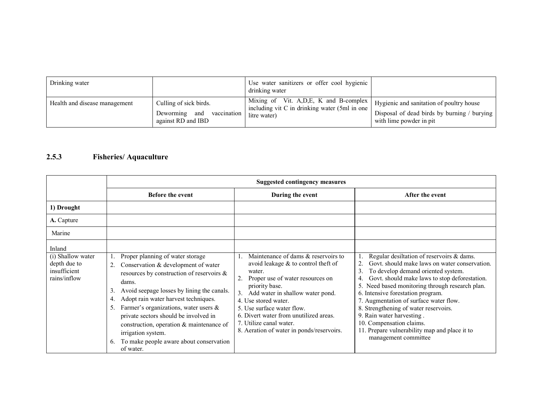| Drinking water                |                           | Use water sanitizers or offer cool hygienic<br>drinking water |                                             |
|-------------------------------|---------------------------|---------------------------------------------------------------|---------------------------------------------|
| Health and disease management | Culling of sick birds.    | Mixing of Vit. A, D, E, K and B-complex                       | Hygienic and sanitation of poultry house    |
|                               | Deworming and vaccination | including vit C in drinking water (5ml in one)                | Disposal of dead birds by burning / burying |
|                               | against RD and IBD        | litre water)                                                  | with lime powder in pit                     |

### 2.5.3 Fisheries/ Aquaculture

|                                                                   | <b>Suggested contingency measures</b>                                                                                                                                                                                                                                                                                                                                                                                                                |                                                                                                                                                                                                                                                                                                                                                                                  |                                                                                                                                                                                                                                                                                                                                                                                                                                                                                                                                |  |
|-------------------------------------------------------------------|------------------------------------------------------------------------------------------------------------------------------------------------------------------------------------------------------------------------------------------------------------------------------------------------------------------------------------------------------------------------------------------------------------------------------------------------------|----------------------------------------------------------------------------------------------------------------------------------------------------------------------------------------------------------------------------------------------------------------------------------------------------------------------------------------------------------------------------------|--------------------------------------------------------------------------------------------------------------------------------------------------------------------------------------------------------------------------------------------------------------------------------------------------------------------------------------------------------------------------------------------------------------------------------------------------------------------------------------------------------------------------------|--|
|                                                                   | <b>Before the event</b>                                                                                                                                                                                                                                                                                                                                                                                                                              | During the event                                                                                                                                                                                                                                                                                                                                                                 | After the event                                                                                                                                                                                                                                                                                                                                                                                                                                                                                                                |  |
| 1) Drought                                                        |                                                                                                                                                                                                                                                                                                                                                                                                                                                      |                                                                                                                                                                                                                                                                                                                                                                                  |                                                                                                                                                                                                                                                                                                                                                                                                                                                                                                                                |  |
| A. Capture                                                        |                                                                                                                                                                                                                                                                                                                                                                                                                                                      |                                                                                                                                                                                                                                                                                                                                                                                  |                                                                                                                                                                                                                                                                                                                                                                                                                                                                                                                                |  |
| Marine                                                            |                                                                                                                                                                                                                                                                                                                                                                                                                                                      |                                                                                                                                                                                                                                                                                                                                                                                  |                                                                                                                                                                                                                                                                                                                                                                                                                                                                                                                                |  |
| Inland                                                            |                                                                                                                                                                                                                                                                                                                                                                                                                                                      |                                                                                                                                                                                                                                                                                                                                                                                  |                                                                                                                                                                                                                                                                                                                                                                                                                                                                                                                                |  |
| (i) Shallow water<br>depth due to<br>insufficient<br>rains/inflow | Proper planning of water storage<br>Conservation & development of water<br>resources by construction of reservoirs &<br>dams.<br>Avoid seepage losses by lining the canals.<br>3.<br>Adopt rain water harvest techniques.<br>4.<br>Farmer's organizations, water users $\&$<br>private sectors should be involved in<br>construction, operation & maintenance of<br>irrigation system.<br>To make people aware about conservation<br>6.<br>of water. | Maintenance of dams & reservoirs to<br>avoid leakage $&$ to control theft of<br>water.<br>Proper use of water resources on<br>2.<br>priority base.<br>Add water in shallow water pond.<br>3 <sub>1</sub><br>4. Use stored water.<br>5. Use surface water flow.<br>6. Divert water from unutilized areas.<br>7. Utilize canal water.<br>8. Aeration of water in ponds/reservoirs. | Regular desiltation of reservoirs & dams.<br>Govt. should make laws on water conservation.<br>$\overline{2}$ .<br>3.<br>To develop demand oriented system.<br>Govt. should make laws to stop deforestation.<br>4.<br>5. Need based monitoring through research plan.<br>6. Intensive forestation program.<br>7. Augmentation of surface water flow.<br>8. Strengthening of water reservoirs.<br>9. Rain water harvesting.<br>10. Compensation claims.<br>11. Prepare vulnerability map and place it to<br>management committee |  |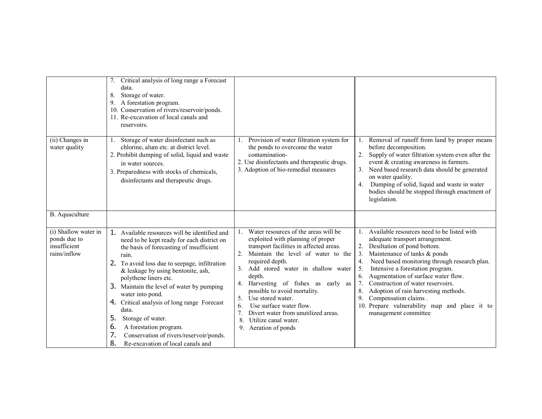|                                                                      | Critical analysis of long range a Forecast<br>data.<br>Storage of water.<br>8.<br>9. A forestation program.<br>10. Conservation of rivers/reservoir/ponds.<br>11. Re-excavation of local canals and<br>reservoirs.                                                                                                                                                                                                                                                                                                                                     |                                                                                                                                                                                                                                                                                                                                                                                                                                                                 |                                                                                                                                                                                                                                                                                                                                                                                                                                                                                                          |
|----------------------------------------------------------------------|--------------------------------------------------------------------------------------------------------------------------------------------------------------------------------------------------------------------------------------------------------------------------------------------------------------------------------------------------------------------------------------------------------------------------------------------------------------------------------------------------------------------------------------------------------|-----------------------------------------------------------------------------------------------------------------------------------------------------------------------------------------------------------------------------------------------------------------------------------------------------------------------------------------------------------------------------------------------------------------------------------------------------------------|----------------------------------------------------------------------------------------------------------------------------------------------------------------------------------------------------------------------------------------------------------------------------------------------------------------------------------------------------------------------------------------------------------------------------------------------------------------------------------------------------------|
| (ii) Changes in<br>water quality                                     | Storage of water disinfectant such as<br>$\mathbf{1}$ .<br>chlorine, alum etc. at district level.<br>2. Prohibit dumping of solid, liquid and waste<br>in water sources.<br>3. Preparedness with stocks of chemicals,<br>disinfectants and therapeutic drugs.                                                                                                                                                                                                                                                                                          | Provision of water filtration system for<br>the ponds to overcome the water<br>contamination-<br>2. Use disinfectants and therapeutic drugs.<br>3. Adoption of bio-remedial measures                                                                                                                                                                                                                                                                            | Removal of runoff from land by proper means<br>before decomposition.<br>Supply of water filtration system even after the<br>event & creating awareness in farmers.<br>Need based research data should be generated<br>on water quality.<br>Dumping of solid, liquid and waste in water<br>4.<br>bodies should be stopped through enactment of<br>legislation.                                                                                                                                            |
| B. Aquaculture                                                       |                                                                                                                                                                                                                                                                                                                                                                                                                                                                                                                                                        |                                                                                                                                                                                                                                                                                                                                                                                                                                                                 |                                                                                                                                                                                                                                                                                                                                                                                                                                                                                                          |
| (i) Shallow water in<br>ponds due to<br>insufficient<br>rains/inflow | 1. Available resources will be identified and<br>need to be kept ready for each district on<br>the basis of forecasting of insufficient<br>rain.<br>2.<br>To avoid loss due to seepage, infiltration<br>& leakage by using bentonite, ash,<br>polythene liners etc.<br>3. Maintain the level of water by pumping<br>water into pond.<br>Critical analysis of long range Forecast<br>4.<br>data.<br>5.<br>Storage of water.<br>6.<br>A forestation program.<br>7.<br>Conservation of rivers/reservoir/ponds.<br>8.<br>Re-excavation of local canals and | Water resources of the areas will be<br>exploited with planning of proper<br>transport facilities in affected areas.<br>Maintain the level of water to the<br>required depth.<br>3. Add stored water in shallow water<br>depth.<br>4. Harvesting of fishes as early as<br>possible to avoid mortality.<br>Use stored water.<br>5.<br>Use surface water flow.<br>6.<br>Divert water from unutilized areas.<br>8.<br>Utilize canal water.<br>9. Aeration of ponds | 1. Available resources need to be listed with<br>adequate transport arrangement.<br>Desiltation of pond bottom.<br>2.<br>3.<br>Maintenance of tanks & ponds<br>Need based monitoring through research plan.<br>4.<br>Intensive a forestation program.<br>5.<br>Augmentation of surface water flow.<br>6.<br>Construction of water reservoirs.<br>7.<br>Adoption of rain harvesting methods.<br>8.<br>Compensation claims.<br>9.<br>10. Prepare vulnerability map and place it to<br>management committee |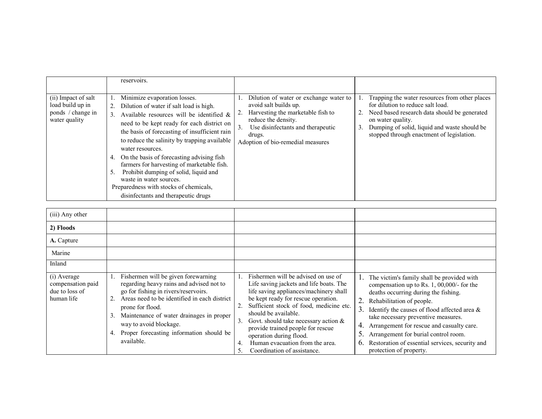|                                                                               | reservoirs.                                                                                                                                                                                                                                                                                                                                                                                                                                                                                                                                                                |                                                                                                                                                                                                                       |                                                                                                                                                                                                                                                             |
|-------------------------------------------------------------------------------|----------------------------------------------------------------------------------------------------------------------------------------------------------------------------------------------------------------------------------------------------------------------------------------------------------------------------------------------------------------------------------------------------------------------------------------------------------------------------------------------------------------------------------------------------------------------------|-----------------------------------------------------------------------------------------------------------------------------------------------------------------------------------------------------------------------|-------------------------------------------------------------------------------------------------------------------------------------------------------------------------------------------------------------------------------------------------------------|
| (ii) Impact of salt<br>load build up in<br>ponds / change in<br>water quality | Minimize evaporation losses.<br>Dilution of water if salt load is high.<br>2.<br>Available resources will be identified &<br>3 <sub>1</sub><br>need to be kept ready for each district on<br>the basis of forecasting of insufficient rain<br>to reduce the salinity by trapping available<br>water resources.<br>On the basis of forecasting advising fish<br>4.<br>farmers for harvesting of marketable fish.<br>Prohibit dumping of solid, liquid and<br>5.<br>waste in water sources.<br>Preparedness with stocks of chemicals,<br>disinfectants and therapeutic drugs | Dilution of water or exchange water to<br>avoid salt builds up.<br>Harvesting the marketable fish to<br>reduce the density.<br>Use disinfectants and therapeutic<br>3.<br>drugs.<br>Adoption of bio-remedial measures | Trapping the water resources from other places<br>for dilution to reduce salt load.<br>Need based research data should be generated<br>on water quality.<br>Dumping of solid, liquid and waste should be<br>3.<br>stopped through enactment of legislation. |

| (iii) Any other                                                  |                                                                                                                                                                                                                                                                                                                                         |                                                                                                                                                                                                                                                                                                                                                                                                                             |                                                                                                                                                                                                                                                                                                                                                                                                                                                          |
|------------------------------------------------------------------|-----------------------------------------------------------------------------------------------------------------------------------------------------------------------------------------------------------------------------------------------------------------------------------------------------------------------------------------|-----------------------------------------------------------------------------------------------------------------------------------------------------------------------------------------------------------------------------------------------------------------------------------------------------------------------------------------------------------------------------------------------------------------------------|----------------------------------------------------------------------------------------------------------------------------------------------------------------------------------------------------------------------------------------------------------------------------------------------------------------------------------------------------------------------------------------------------------------------------------------------------------|
| 2) Floods                                                        |                                                                                                                                                                                                                                                                                                                                         |                                                                                                                                                                                                                                                                                                                                                                                                                             |                                                                                                                                                                                                                                                                                                                                                                                                                                                          |
| A. Capture                                                       |                                                                                                                                                                                                                                                                                                                                         |                                                                                                                                                                                                                                                                                                                                                                                                                             |                                                                                                                                                                                                                                                                                                                                                                                                                                                          |
| Marine                                                           |                                                                                                                                                                                                                                                                                                                                         |                                                                                                                                                                                                                                                                                                                                                                                                                             |                                                                                                                                                                                                                                                                                                                                                                                                                                                          |
| Inland                                                           |                                                                                                                                                                                                                                                                                                                                         |                                                                                                                                                                                                                                                                                                                                                                                                                             |                                                                                                                                                                                                                                                                                                                                                                                                                                                          |
| (i) Average<br>compensation paid<br>due to loss of<br>human life | Fishermen will be given forewarning<br>regarding heavy rains and advised not to<br>go for fishing in rivers/reservoirs.<br>Areas need to be identified in each district<br>prone for flood.<br>Maintenance of water drainages in proper<br>3.<br>way to avoid blockage.<br>Proper forecasting information should be<br>4.<br>available. | Fishermen will be advised on use of<br>Life saving jackets and life boats. The<br>life saving appliances/machinery shall<br>be kept ready for rescue operation.<br>Sufficient stock of food, medicine etc.<br>should be available.<br>Govt. should take necessary action $\&$<br>3.<br>provide trained people for rescue<br>operation during flood.<br>Human evacuation from the area.<br>4.<br>Coordination of assistance. | The victim's family shall be provided with<br>compensation up to Rs. 1, 00,000/- for the<br>deaths occurring during the fishing.<br>2.<br>Rehabilitation of people.<br>3.<br>Identify the causes of flood affected area $\&$<br>take necessary preventive measures.<br>4.<br>Arrangement for rescue and casualty care.<br>5.<br>Arrangement for burial control room.<br>Restoration of essential services, security and<br>6.<br>protection of property. |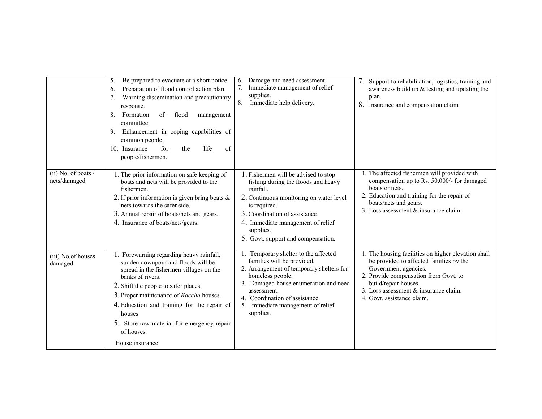|                                       | Be prepared to evacuate at a short notice.<br>5.<br>Preparation of flood control action plan.<br>6.<br>Warning dissemination and precautionary<br>response.<br>Formation<br>flood<br>8.<br>of<br>management<br>committee.<br>Enhancement in coping capabilities of<br>9.<br>common people.<br>10. Insurance<br>of<br>for<br>life<br>the<br>people/fishermen.             | Damage and need assessment.<br>6.<br>Immediate management of relief<br>$7_{\scriptscriptstyle{\ddots}}$<br>supplies.<br>Immediate help delivery.<br>8.                                                                                                                         | 7.<br>Support to rehabilitation, logistics, training and<br>awareness build up $&$ testing and updating the<br>plan.<br>8.<br>Insurance and compensation claim.                                                                                                |
|---------------------------------------|--------------------------------------------------------------------------------------------------------------------------------------------------------------------------------------------------------------------------------------------------------------------------------------------------------------------------------------------------------------------------|--------------------------------------------------------------------------------------------------------------------------------------------------------------------------------------------------------------------------------------------------------------------------------|----------------------------------------------------------------------------------------------------------------------------------------------------------------------------------------------------------------------------------------------------------------|
| (ii) No. of boats $/$<br>nets/damaged | 1. The prior information on safe keeping of<br>boats and nets will be provided to the<br>fishermen.<br>2. If prior information is given bring boats $\&$<br>nets towards the safer side.<br>3. Annual repair of boats/nets and gears.<br>4. Insurance of boats/nets/gears.                                                                                               | 1. Fishermen will be advised to stop<br>fishing during the floods and heavy<br>rainfall.<br>2. Continuous monitoring on water level<br>is required.<br>3. Coordination of assistance<br>4. Immediate management of relief<br>supplies.<br>5. Govt. support and compensation.   | 1. The affected fishermen will provided with<br>compensation up to Rs. 50,000/- for damaged<br>boats or nets.<br>2. Education and training for the repair of<br>boats/nets and gears.<br>3. Loss assessment $&$ insurance claim.                               |
| (iii) No.of houses<br>damaged         | 1. Forewarning regarding heavy rainfall,<br>sudden downpour and floods will be<br>spread in the fishermen villages on the<br>banks of rivers.<br>2. Shift the people to safer places.<br>3. Proper maintenance of Kaccha houses.<br>4. Education and training for the repair of<br>houses<br>5. Store raw material for emergency repair<br>of houses.<br>House insurance | 1. Temporary shelter to the affected<br>families will be provided.<br>2. Arrangement of temporary shelters for<br>homeless people.<br>3. Damaged house enumeration and need<br>assessment.<br>4. Coordination of assistance.<br>5. Immediate management of relief<br>supplies. | 1. The housing facilities on higher elevation shall<br>be provided to affected families by the<br>Government agencies.<br>2. Provide compensation from Govt. to<br>build/repair houses.<br>3. Loss assessment & insurance claim.<br>4. Govt. assistance claim. |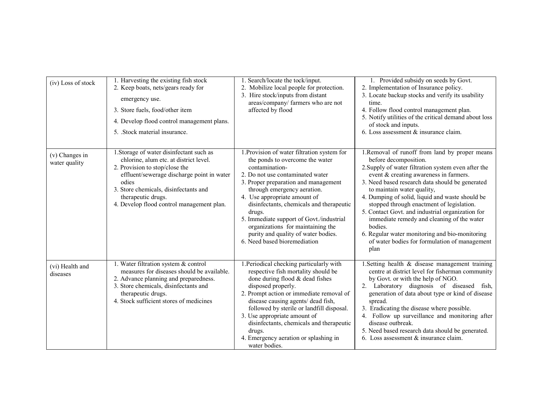| (iv) Loss of stock              | 1. Harvesting the existing fish stock<br>2. Keep boats, nets/gears ready for<br>emergency use.<br>3. Store fuels, food/other item<br>4. Develop flood control management plans.<br>5. Stock material insurance.                                                                         | 1. Search/locate the tock/input.<br>2. Mobilize local people for protection.<br>3. Hire stock/inputs from distant<br>areas/company/ farmers who are not<br>affected by flood                                                                                                                                                                                                                                                                              | 1. Provided subsidy on seeds by Govt.<br>2. Implementation of Insurance policy.<br>3. Locate backup stocks and verify its usability<br>time.<br>4. Follow flood control management plan.<br>5. Notify utilities of the critical demand about loss<br>of stock and inputs.<br>6. Loss assessment & insurance claim.                                                                                                                                                                                                                                                               |
|---------------------------------|-----------------------------------------------------------------------------------------------------------------------------------------------------------------------------------------------------------------------------------------------------------------------------------------|-----------------------------------------------------------------------------------------------------------------------------------------------------------------------------------------------------------------------------------------------------------------------------------------------------------------------------------------------------------------------------------------------------------------------------------------------------------|----------------------------------------------------------------------------------------------------------------------------------------------------------------------------------------------------------------------------------------------------------------------------------------------------------------------------------------------------------------------------------------------------------------------------------------------------------------------------------------------------------------------------------------------------------------------------------|
| (v) Changes in<br>water quality | 1. Storage of water disinfectant such as<br>chlorine, alum etc. at district level.<br>2. Provision to stop/close the<br>effluent/sewerage discharge point in water<br>odies<br>3. Store chemicals, disinfectants and<br>therapeutic drugs.<br>4. Develop flood control management plan. | 1. Provision of water filtration system for<br>the ponds to overcome the water<br>contamination-<br>2. Do not use contaminated water<br>3. Proper preparation and management<br>through emergency aeration.<br>4. Use appropriate amount of<br>disinfectants, chemicals and therapeutic<br>drugs.<br>5. Immediate support of Govt./industrial<br>organizations for maintaining the<br>purity and quality of water bodies.<br>6. Need based bioremediation | 1.Removal of runoff from land by proper means<br>before decomposition.<br>2. Supply of water filtration system even after the<br>event & creating awareness in farmers.<br>3. Need based research data should be generated<br>to maintain water quality,<br>4. Dumping of solid, liquid and waste should be<br>stopped through enactment of legislation.<br>5. Contact Govt. and industrial organization for<br>immediate remedy and cleaning of the water<br>bodies.<br>6. Regular water monitoring and bio-monitoring<br>of water bodies for formulation of management<br>plan |
| (vi) Health and<br>diseases     | 1. Water filtration system & control<br>measures for diseases should be available.<br>2. Advance planning and preparedness.<br>3. Store chemicals, disinfectants and<br>therapeutic drugs.<br>4. Stock sufficient stores of medicines                                                   | 1. Periodical checking particularly with<br>respective fish mortality should be<br>done during flood & dead fishes<br>disposed properly.<br>2. Prompt action or immediate removal of<br>disease causing agents/ dead fish,<br>followed by sterile or landfill disposal.<br>3. Use appropriate amount of<br>disinfectants, chemicals and therapeutic<br>drugs.<br>4. Emergency aeration or splashing in<br>water bodies.                                   | 1. Setting health & disease management training<br>centre at district level for fisherman community<br>by Govt. or with the help of NGO.<br>2. Laboratory diagnosis of diseased fish,<br>generation of data about type or kind of disease<br>spread.<br>3. Eradicating the disease where possible.<br>4. Follow up surveillance and monitoring after<br>disease outbreak.<br>5. Need based research data should be generated.<br>6. Loss assessment & insurance claim.                                                                                                           |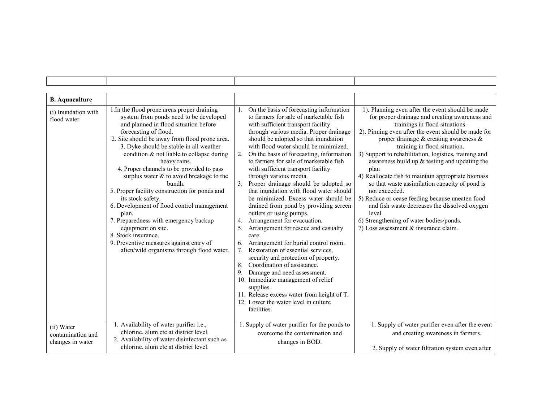| <b>B.</b> Aquaculture                               |                                                                                                                                                                                                                                                                                                                                                                                                                                                                                                                                                                                                                                                                                                                                   |                                                                                                                                                                                                                                                                                                                                                                                                                                                                                                                                                                                                                                                                                                                                                                                                                                                                                                                                                                                                                                                                                                                     |                                                                                                                                                                                                                                                                                                                                                                                                                                                                                                                                                                                                                                                                                                                              |
|-----------------------------------------------------|-----------------------------------------------------------------------------------------------------------------------------------------------------------------------------------------------------------------------------------------------------------------------------------------------------------------------------------------------------------------------------------------------------------------------------------------------------------------------------------------------------------------------------------------------------------------------------------------------------------------------------------------------------------------------------------------------------------------------------------|---------------------------------------------------------------------------------------------------------------------------------------------------------------------------------------------------------------------------------------------------------------------------------------------------------------------------------------------------------------------------------------------------------------------------------------------------------------------------------------------------------------------------------------------------------------------------------------------------------------------------------------------------------------------------------------------------------------------------------------------------------------------------------------------------------------------------------------------------------------------------------------------------------------------------------------------------------------------------------------------------------------------------------------------------------------------------------------------------------------------|------------------------------------------------------------------------------------------------------------------------------------------------------------------------------------------------------------------------------------------------------------------------------------------------------------------------------------------------------------------------------------------------------------------------------------------------------------------------------------------------------------------------------------------------------------------------------------------------------------------------------------------------------------------------------------------------------------------------------|
| (i) Inundation with<br>flood water                  | 1. In the flood prone areas proper draining<br>system from ponds need to be developed<br>and planned in flood situation before<br>forecasting of flood.<br>2. Site should be away from flood prone area.<br>3. Dyke should be stable in all weather<br>condition & not liable to collapse during<br>heavy rains.<br>4. Proper channels to be provided to pass<br>surplus water $\&$ to avoid breakage to the<br>bundh.<br>5. Proper facility construction for ponds and<br>its stock safety.<br>6. Development of flood control management<br>plan.<br>7. Preparedness with emergency backup<br>equipment on site.<br>8. Stock insurance.<br>9. Preventive measures against entry of<br>alien/wild organisms through flood water. | On the basis of forecasting information<br>1.<br>to farmers for sale of marketable fish<br>with sufficient transport facility<br>through various media. Proper drainage<br>should be adopted so that inundation<br>with flood water should be minimized.<br>On the basis of forecasting, information<br>2.<br>to farmers for sale of marketable fish<br>with sufficient transport facility<br>through various media.<br>3. Proper drainage should be adopted so<br>that inundation with flood water should<br>be minimized. Excess water should be<br>drained from pond by providing screen<br>outlets or using pumps.<br>Arrangement for evacuation.<br>4.<br>Arrangement for rescue and casualty<br>5.<br>care.<br>Arrangement for burial control room.<br>6.<br>Restoration of essential services,<br>$7_{\scriptscriptstyle{\ddots}}$<br>security and protection of property.<br>Coordination of assistance.<br>8.<br>Damage and need assessment.<br>9.<br>10. Immediate management of relief<br>supplies.<br>11. Release excess water from height of T.<br>12. Lower the water level in culture<br>facilities. | 1). Planning even after the event should be made<br>for proper drainage and creating awareness and<br>trainings in flood situations.<br>2). Pinning even after the event should be made for<br>proper drainage $\&$ creating awareness $\&$<br>training in flood situation.<br>3) Support to rehabilitation, logistics, training and<br>awareness build up $&$ testing and updating the<br>plan<br>4) Reallocate fish to maintain appropriate biomass<br>so that waste assimilation capacity of pond is<br>not exceeded.<br>5) Reduce or cease feeding because uneaten food<br>and fish waste decreases the dissolved oxygen<br>level.<br>6) Strengthening of water bodies/ponds.<br>7) Loss assessment $&$ insurance claim. |
| (ii) Water<br>contamination and<br>changes in water | 1. Availability of water purifier i.e.,<br>chlorine, alum etc at district level.<br>2. Availability of water disinfectant such as<br>chlorine, alum etc at district level.                                                                                                                                                                                                                                                                                                                                                                                                                                                                                                                                                        | 1. Supply of water purifier for the ponds to<br>overcome the contamination and<br>changes in BOD.                                                                                                                                                                                                                                                                                                                                                                                                                                                                                                                                                                                                                                                                                                                                                                                                                                                                                                                                                                                                                   | 1. Supply of water purifier even after the event<br>and creating awareness in farmers.<br>2. Supply of water filtration system even after                                                                                                                                                                                                                                                                                                                                                                                                                                                                                                                                                                                    |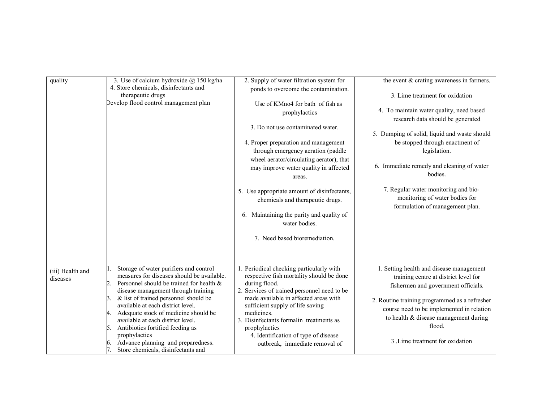| quality                      | 3. Use of calcium hydroxide @ 150 kg/ha<br>4. Store chemicals, disinfectants and<br>therapeutic drugs<br>Develop flood control management plan                                                                                                                                                                                                                                                                                                                                              | 2. Supply of water filtration system for<br>ponds to overcome the contamination.<br>Use of KMno4 for bath of fish as<br>prophylactics<br>3. Do not use contaminated water.<br>4. Proper preparation and management<br>through emergency aeration (paddle                                                                                                                              | the event & crating awareness in farmers.<br>3. Lime treatment for oxidation<br>4. To maintain water quality, need based<br>research data should be generated<br>5. Dumping of solid, liquid and waste should<br>be stopped through enactment of<br>legislation.                                             |
|------------------------------|---------------------------------------------------------------------------------------------------------------------------------------------------------------------------------------------------------------------------------------------------------------------------------------------------------------------------------------------------------------------------------------------------------------------------------------------------------------------------------------------|---------------------------------------------------------------------------------------------------------------------------------------------------------------------------------------------------------------------------------------------------------------------------------------------------------------------------------------------------------------------------------------|--------------------------------------------------------------------------------------------------------------------------------------------------------------------------------------------------------------------------------------------------------------------------------------------------------------|
|                              |                                                                                                                                                                                                                                                                                                                                                                                                                                                                                             | wheel aerator/circulating aerator), that<br>may improve water quality in affected<br>areas.                                                                                                                                                                                                                                                                                           | 6. Immediate remedy and cleaning of water<br>bodies.                                                                                                                                                                                                                                                         |
|                              |                                                                                                                                                                                                                                                                                                                                                                                                                                                                                             | 5. Use appropriate amount of disinfectants,<br>chemicals and therapeutic drugs.<br>6. Maintaining the purity and quality of<br>water bodies.<br>7. Need based bioremediation.                                                                                                                                                                                                         | 7. Regular water monitoring and bio-<br>monitoring of water bodies for<br>formulation of management plan.                                                                                                                                                                                                    |
| (iii) Health and<br>diseases | Storage of water purifiers and control<br>measures for diseases should be available.<br>2.<br>Personnel should be trained for health &<br>disease management through training<br>& list of trained personnel should be<br>3.<br>available at each district level.<br>Adequate stock of medicine should be<br>4.<br>available at each district level.<br>Antibiotics fortified feeding as<br>5.<br>prophylactics<br>Advance planning and preparedness.<br>Store chemicals, disinfectants and | 1. Periodical checking particularly with<br>respective fish mortality should be done<br>during flood.<br>2. Services of trained personnel need to be<br>made available in affected areas with<br>sufficient supply of life saving<br>medicines.<br>3. Disinfectants formalin treatments as<br>prophylactics<br>4. Identification of type of disease<br>outbreak, immediate removal of | 1. Setting health and disease management<br>training centre at district level for<br>fishermen and government officials.<br>2. Routine training programmed as a refresher<br>course need to be implemented in relation<br>to health & disease management during<br>flood.<br>3. Lime treatment for oxidation |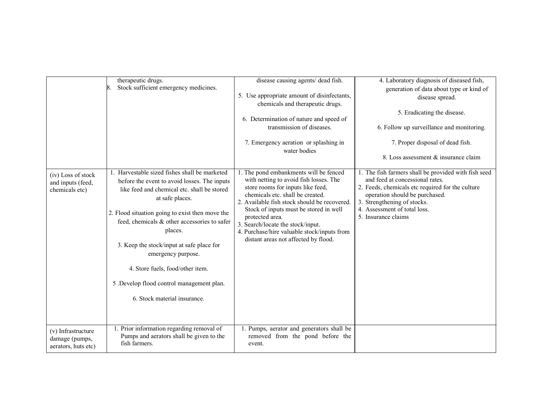|                                                             | therapeutic drugs.<br>Stock sufficient emergency medicines.<br>8.                                                                                                                                                                                                                                                                                                                                                                                                 | disease causing agents/ dead fish.<br>5. Use appropriate amount of disinfectants,<br>chemicals and therapeutic drugs.<br>6. Determination of nature and speed of<br>transmission of diseases.<br>7. Emergency aeration or splashing in<br>water bodies                                                                                                                                             | 4. Laboratory diagnosis of diseased fish,<br>generation of data about type or kind of<br>disease spread.<br>5. Eradicating the disease.<br>6. Follow up surveillance and monitoring.<br>7. Proper disposal of dead fish.<br>8. Loss assessment & insurance claim    |
|-------------------------------------------------------------|-------------------------------------------------------------------------------------------------------------------------------------------------------------------------------------------------------------------------------------------------------------------------------------------------------------------------------------------------------------------------------------------------------------------------------------------------------------------|----------------------------------------------------------------------------------------------------------------------------------------------------------------------------------------------------------------------------------------------------------------------------------------------------------------------------------------------------------------------------------------------------|---------------------------------------------------------------------------------------------------------------------------------------------------------------------------------------------------------------------------------------------------------------------|
| (iv) Loss of stock<br>and inputs (feed,<br>chemicals etc)   | 1. Harvestable sized fishes shall be marketed<br>before the event to avoid losses. The inputs<br>like feed and chemical etc. shall be stored<br>at safe places.<br>2. Flood situation going to exist then move the<br>feed, chemicals & other accessories to safer<br>places.<br>3. Keep the stock/input at safe place for<br>emergency purpose.<br>4. Store fuels, food/other item.<br>5 .Develop flood control management plan.<br>6. Stock material insurance. | 1. The pond embankments will be fenced<br>with netting to avoid fish losses. The<br>store rooms for inputs like feed,<br>chemicals etc. shall be created.<br>2. Available fish stock should be recovered.<br>Stock of inputs must be stored in well<br>protected area.<br>3. Search/locate the stock/input.<br>4. Purchase/hire valuable stock/inputs from<br>distant areas not affected by flood. | 1. The fish farmers shall be provided with fish seed<br>and feed at concessional rates.<br>2. Feeds, chemicals etc required for the culture<br>operation should be purchased.<br>3. Strengthening of stocks.<br>4. Assessment of total loss.<br>5. Insurance claims |
| (v) Infrastructure<br>damage (pumps,<br>aerators, huts etc) | 1. Prior information regarding removal of<br>Pumps and aerators shall be given to the<br>fish farmers.                                                                                                                                                                                                                                                                                                                                                            | 1. Pumps, aerator and generators shall be<br>removed from the pond before the<br>event.                                                                                                                                                                                                                                                                                                            |                                                                                                                                                                                                                                                                     |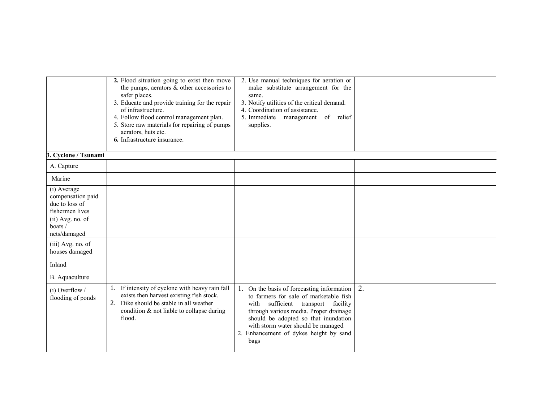|                                                                       | 2. Flood situation going to exist then move<br>the pumps, aerators $\&$ other accessories to<br>safer places.<br>3. Educate and provide training for the repair<br>of infrastructure.<br>4. Follow flood control management plan.<br>5. Store raw materials for repairing of pumps<br>aerators, huts etc.<br>6. Infrastructure insurance. | 2. Use manual techniques for aeration or<br>make substitute arrangement for the<br>same.<br>3. Notify utilities of the critical demand.<br>4. Coordination of assistance.<br>5. Immediate<br>management<br>of relief<br>supplies.                                                                    |    |
|-----------------------------------------------------------------------|-------------------------------------------------------------------------------------------------------------------------------------------------------------------------------------------------------------------------------------------------------------------------------------------------------------------------------------------|------------------------------------------------------------------------------------------------------------------------------------------------------------------------------------------------------------------------------------------------------------------------------------------------------|----|
| 3. Cyclone / Tsunami                                                  |                                                                                                                                                                                                                                                                                                                                           |                                                                                                                                                                                                                                                                                                      |    |
| A. Capture                                                            |                                                                                                                                                                                                                                                                                                                                           |                                                                                                                                                                                                                                                                                                      |    |
| Marine                                                                |                                                                                                                                                                                                                                                                                                                                           |                                                                                                                                                                                                                                                                                                      |    |
| (i) Average<br>compensation paid<br>due to loss of<br>fishermen lives |                                                                                                                                                                                                                                                                                                                                           |                                                                                                                                                                                                                                                                                                      |    |
| (ii) Avg. no. of<br>boats/<br>nets/damaged                            |                                                                                                                                                                                                                                                                                                                                           |                                                                                                                                                                                                                                                                                                      |    |
| (iii) Avg. no. of<br>houses damaged                                   |                                                                                                                                                                                                                                                                                                                                           |                                                                                                                                                                                                                                                                                                      |    |
| Inland                                                                |                                                                                                                                                                                                                                                                                                                                           |                                                                                                                                                                                                                                                                                                      |    |
| B. Aquaculture                                                        |                                                                                                                                                                                                                                                                                                                                           |                                                                                                                                                                                                                                                                                                      |    |
| $(i)$ Overflow /<br>flooding of ponds                                 | If intensity of cyclone with heavy rain fall<br>1.<br>exists then harvest existing fish stock.<br>2. Dike should be stable in all weather<br>condition & not liable to collapse during<br>flood.                                                                                                                                          | 1. On the basis of forecasting information<br>to farmers for sale of marketable fish<br>with sufficient transport facility<br>through various media. Proper drainage<br>should be adopted so that inundation<br>with storm water should be managed<br>2. Enhancement of dykes height by sand<br>bags | 2. |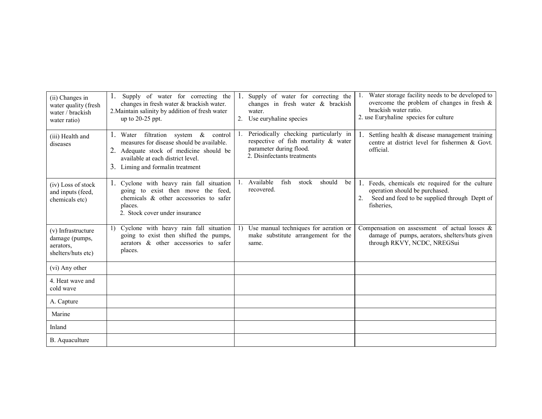| (ii) Changes in<br>water quality (fresh<br>water / brackish<br>water ratio) | Supply of water for correcting the<br>changes in fresh water & brackish water.<br>2. Maintain salinity by addition of fresh water<br>up to $20-25$ ppt.                                                | 2. | Supply of water for correcting the<br>changes in fresh water & brackish<br>water.<br>Use euryhaline species                             | Water storage facility needs to be developed to<br>overcome the problem of changes in fresh $\&$<br>brackish water ratio.<br>2. use Euryhaline species for culture |
|-----------------------------------------------------------------------------|--------------------------------------------------------------------------------------------------------------------------------------------------------------------------------------------------------|----|-----------------------------------------------------------------------------------------------------------------------------------------|--------------------------------------------------------------------------------------------------------------------------------------------------------------------|
| (iii) Health and<br>diseases                                                | 1. Water filtration system & control<br>measures for disease should be available.<br>2. Adequate stock of medicine should be<br>available at each district level.<br>3. Liming and formal in treatment |    | Periodically checking particularly in<br>respective of fish mortality & water<br>parameter during flood.<br>2. Disinfectants treatments | Settling health & disease management training<br>centre at district level for fishermen & Govt.<br>official.                                                       |
| (iv) Loss of stock<br>and inputs (feed,<br>chemicals etc)                   | 1. Cyclone with heavy rain fall situation<br>going to exist then move the feed,<br>chemicals & other accessories to safer<br>places.<br>2. Stock cover under insurance                                 | Ι. | Available<br>fish<br>should<br>stock<br>be<br>recovered.                                                                                | 1. Feeds, chemicals etc required for the culture<br>operation should be purchased.<br>Seed and feed to be supplied through Deptt of<br>fisheries,                  |
| (v) Infrastructure<br>damage (pumps,<br>aerators.<br>shelters/huts etc)     | 1) Cyclone with heavy rain fall situation<br>going to exist then shifted the pumps,<br>aerators & other accessories to safer<br>places.                                                                | 1) | Use manual techniques for aeration or<br>make substitute arrangement for the<br>same.                                                   | Compensation on assessment of actual losses $\&$<br>damage of pumps, aerators, shelters/huts given<br>through RKVY, NCDC, NREGSui                                  |
| (vi) Any other                                                              |                                                                                                                                                                                                        |    |                                                                                                                                         |                                                                                                                                                                    |
| 4 Heat wave and<br>cold wave                                                |                                                                                                                                                                                                        |    |                                                                                                                                         |                                                                                                                                                                    |
| A. Capture                                                                  |                                                                                                                                                                                                        |    |                                                                                                                                         |                                                                                                                                                                    |
| Marine                                                                      |                                                                                                                                                                                                        |    |                                                                                                                                         |                                                                                                                                                                    |
| Inland                                                                      |                                                                                                                                                                                                        |    |                                                                                                                                         |                                                                                                                                                                    |
| B. Aquaculture                                                              |                                                                                                                                                                                                        |    |                                                                                                                                         |                                                                                                                                                                    |